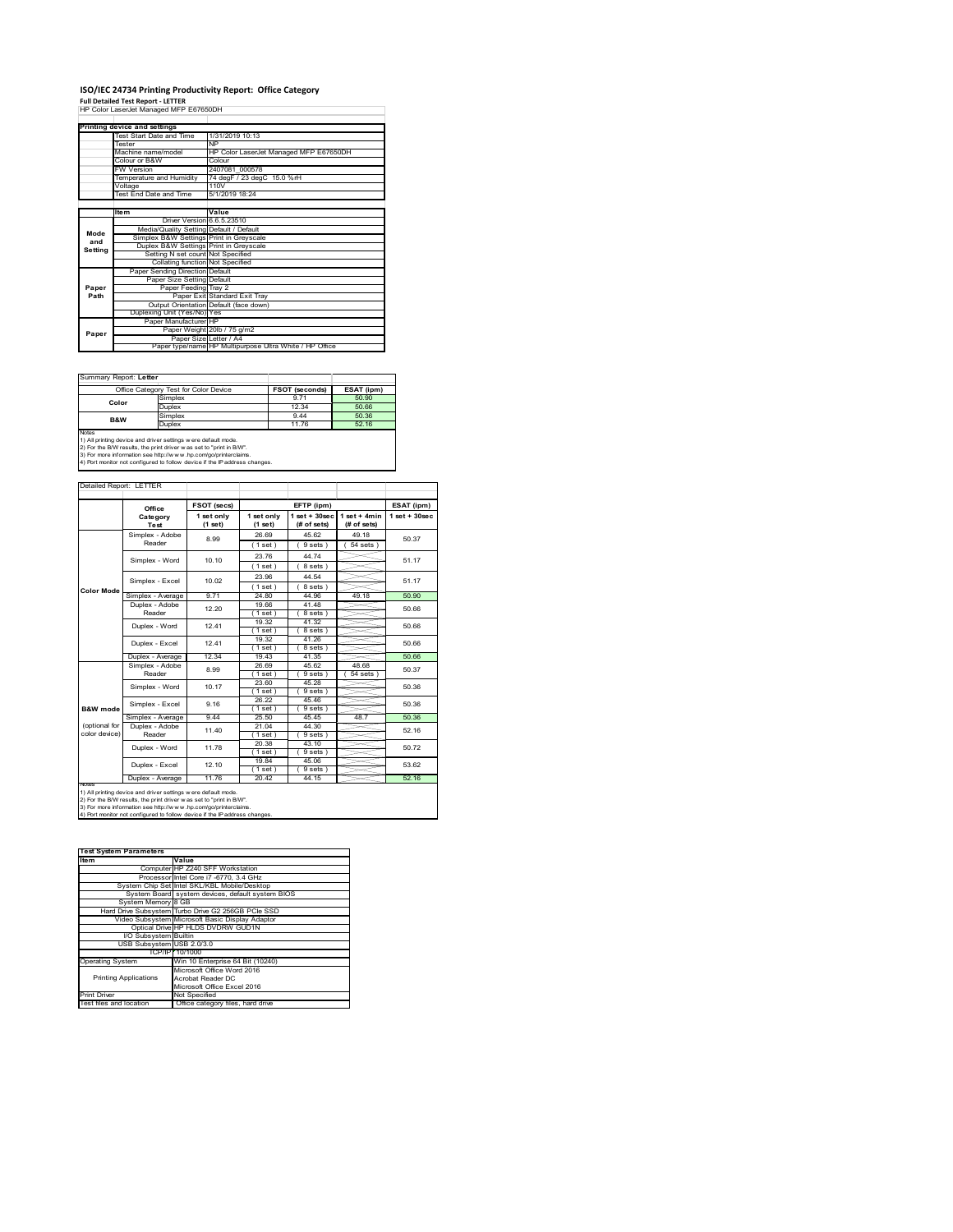## **ISO/IEC 24734 Printing Productivity Report: Office Category Full Detailed Test Report ‐ LETTER** HP Color LaserJet Managed MFP E67650DH

|         | Printing device and settings            |                                                         |  |  |
|---------|-----------------------------------------|---------------------------------------------------------|--|--|
|         | Test Start Date and Time                | 1/31/2019 10:13                                         |  |  |
|         | <b>Tester</b>                           | <b>NP</b>                                               |  |  |
|         | Machine name/model                      | HP Color LaserJet Managed MFP E67650DH                  |  |  |
|         | Colour or B&W                           | Colour                                                  |  |  |
|         | <b>FW Version</b>                       | 2407081 000578                                          |  |  |
|         | Temperature and Humidity                | 74 degF / 23 degC 15.0 %rH                              |  |  |
|         | Voltage                                 | 110V                                                    |  |  |
|         | <b>Test End Date and Time</b>           | 5/1/2019 18:24                                          |  |  |
|         |                                         |                                                         |  |  |
|         | <b>Item</b>                             | Value                                                   |  |  |
|         | Driver Version 6.6.5.23510              |                                                         |  |  |
| Mode    | Media/Quality Setting Default / Default |                                                         |  |  |
| and     | Simplex B&W Settings Print in Greyscale |                                                         |  |  |
|         | Duplex B&W Settings Print in Greyscale  |                                                         |  |  |
| Setting | Setting N set count Not Specified       |                                                         |  |  |
|         | Collating function Not Specified        |                                                         |  |  |
|         | Paper Sending Direction Default         |                                                         |  |  |
|         | Paper Size Setting Default              |                                                         |  |  |
| Paper   | Paper Feeding Tray 2                    |                                                         |  |  |
| Path    |                                         | Paper Exit Standard Exit Tray                           |  |  |
|         |                                         | Output Orientation Default (face down)                  |  |  |
|         | Duplexing Unit (Yes/No) Yes             |                                                         |  |  |
|         | Paper Manufacturer HP                   |                                                         |  |  |
| Paper   |                                         | Paper Weight 20lb / 75 g/m2                             |  |  |
|         |                                         | Paper Size Letter / A4                                  |  |  |
|         |                                         | Paper type/name HP Multipurpose Ultra White / HP Office |  |  |

Summary Report: **Letter**

|                                                               | Office Category Test for Color Device | <b>FSOT (seconds)</b> | ESAT (ipm) |  |  |
|---------------------------------------------------------------|---------------------------------------|-----------------------|------------|--|--|
| Color                                                         | Simplex                               | 9 7 1                 | 50.90      |  |  |
|                                                               | Duplex                                | 12 34                 | 50.66      |  |  |
| <b>B&amp;W</b>                                                | Simplex                               | 944                   | 50.36      |  |  |
|                                                               | Duplex                                | 11.76                 | 52.16      |  |  |
| <b>Notes</b>                                                  |                                       |                       |            |  |  |
| 1) All printing device and driver settings were default mode. |                                       |                       |            |  |  |

1) All printing device and driver settings were default mode.<br>2) For the B/W results, the print driver was set to "print in B/W".<br>3) For more information see http://www.hp.com/go/printerclaims.<br>4) Port monitor not configur

| Detailed Report: LETTER        |                           |                       |                       |                                   |                               |                   |
|--------------------------------|---------------------------|-----------------------|-----------------------|-----------------------------------|-------------------------------|-------------------|
|                                | Office                    | <b>FSOT (secs)</b>    |                       | EFTP (ipm)                        |                               | ESAT (ipm)        |
|                                | Category<br>Test          | 1 set only<br>(1 set) | 1 set only<br>(1 set) | $1$ set + $30$ sec<br>(# of sets) | $1$ set + 4min<br>(# of sets) | $1$ set $+30$ sec |
|                                | Simplex - Adobe<br>Reader | 8.99                  | 26.69<br>(1 set)      | 45.62<br>9 sets                   | 49 18<br>$54$ sets $)$        | 50.37             |
|                                | Simplex - Word            | 10.10                 | 23.76<br>(1 set)      | 44 74<br>8 sets)                  |                               | 51.17             |
|                                | Simplex - Excel           | 10.02                 | 23.96<br>(1 set)      | 44.54<br>8 sets)                  |                               | 51 17             |
| <b>Color Mode</b>              | Simplex - Average         | 9.71                  | 24.80                 | 44 96                             | 49.18                         | 50.90             |
|                                | Duplex - Adobe<br>Reader  | 12 20                 | 19.66<br>(1 set)      | 41.48<br>8 sets )                 |                               | 50.66             |
|                                | Duplex - Word             | 1241                  | 19.32<br>(1 set)      | 41.32<br>8 sets)                  |                               | 50.66             |
|                                | Duplex - Excel            | 1241                  | 19.32<br>(1 set)      | 41.26<br>8 sets 1                 |                               | 50.66             |
|                                | Duplex - Average          | 12.34                 | 19.43                 | 41.35                             |                               | 50.66             |
|                                | Simplex - Adobe<br>Reader | 8.99                  | 26.69<br>(1 set)      | 45.62<br>9 sets)                  | 48.68<br>54 sets              | 50.37             |
|                                | Simplex - Word            | 10 17                 | 23.60<br>(1 set)      | 45 28<br>9 sets)                  |                               | 50.36             |
| B&W mode                       | Simplex - Excel           | 9 16                  | 26.22<br>(1 set)      | 4546<br>9 sets                    |                               | 50.36             |
|                                | Simplex - Average         | 944                   | 25.50                 | 4545                              | 487                           | 50.36             |
| (optional for<br>color device) | Duplex - Adobe<br>Reader  | 11 40                 | 21.04<br>(1 set)      | 44 30<br>9 sets                   |                               | 52.16             |
|                                | Duplex - Word             | 11.78                 | 20.38<br>(1 set)      | 43.10<br>9 sets)                  |                               | 50.72             |
|                                | Duplex - Excel            | 12 10                 | 1984<br>(1 set)       | 45.06<br>9 sets)                  |                               | 53.62             |
|                                | Duplex - Average          | 1176                  | 20.42                 | 44 15                             |                               | 52.16             |

2) For the B/W results, the print driver w as set to "print in B/W".<br>3) For more information see http://w w w .hp.com/go/printerclaims.<br>4) Port monitor not configured to follow device if the IP address changes.

| <b>Test System Parameters</b> |                                                    |  |
|-------------------------------|----------------------------------------------------|--|
| Item                          | Value                                              |  |
|                               | Computer HP Z240 SFF Workstation                   |  |
|                               | Processor Intel Core i7 -6770, 3.4 GHz             |  |
|                               | System Chip Set Intel SKL/KBL Mobile/Desktop       |  |
|                               | System Board system devices, default system BIOS   |  |
| System Memory 8 GB            |                                                    |  |
|                               | Hard Drive Subsystem Turbo Drive G2 256GB PCle SSD |  |
|                               | Video Subsystem Microsoft Basic Display Adaptor    |  |
|                               | Optical Drive HP HLDS DVDRW GUD1N                  |  |
| I/O Subsystem Builtin         |                                                    |  |
| USB Subsystem USB 2.0/3.0     |                                                    |  |
|                               | TCP/IPI 10/1000                                    |  |
| <b>Operating System</b>       | Win 10 Enterprise 64 Bit (10240)                   |  |
|                               | Microsoft Office Word 2016                         |  |
| <b>Printing Applications</b>  | Acrobat Reader DC                                  |  |
|                               | Microsoft Office Excel 2016                        |  |
| Print Driver                  | Not Specified                                      |  |
| Test files and location       | Office category files, hard drive                  |  |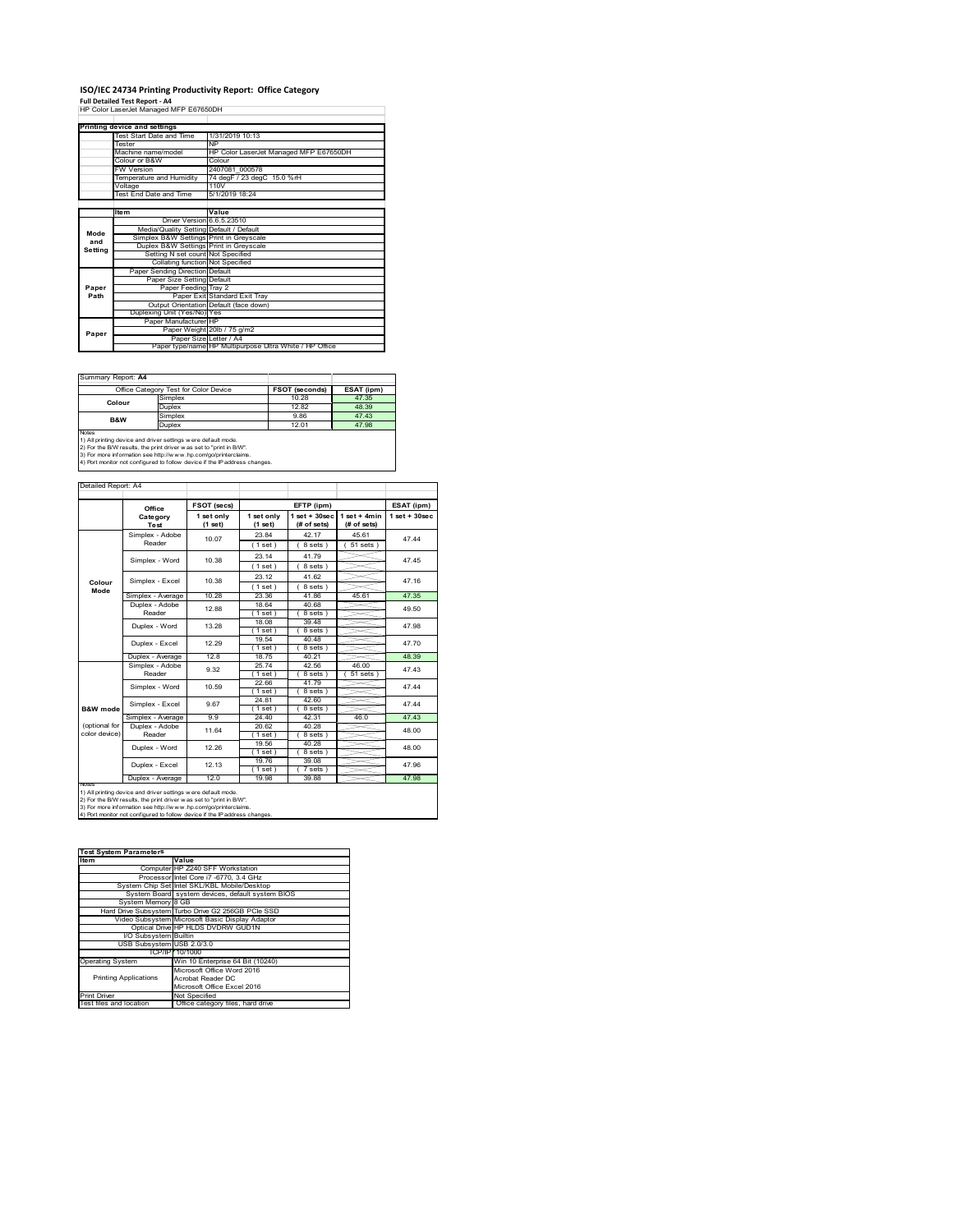# **ISO/IEC 24734 Printing Productivity Report: Office Category Full Detailed Test Report ‐ A4** HP Color LaserJet Managed MFP E67650DH

|         | Printing device and settings            |                                                         |  |  |
|---------|-----------------------------------------|---------------------------------------------------------|--|--|
|         | Test Start Date and Time                | 1/31/2019 10:13                                         |  |  |
|         | <b>Tester</b>                           | <b>NP</b>                                               |  |  |
|         | Machine name/model                      | HP Color LaserJet Managed MFP E67650DH                  |  |  |
|         | Colour or B&W                           | Colour                                                  |  |  |
|         | <b>FW Version</b>                       | 2407081 000578                                          |  |  |
|         | Temperature and Humidity                | 74 degF / 23 degC 15.0 %rH                              |  |  |
|         | Voltage                                 | 110V                                                    |  |  |
|         | <b>Test End Date and Time</b>           | 5/1/2019 18:24                                          |  |  |
|         |                                         |                                                         |  |  |
|         | <b>Item</b>                             | Value                                                   |  |  |
|         | Driver Version 6.6.5.23510              |                                                         |  |  |
| Mode    | Media/Quality Setting Default / Default |                                                         |  |  |
| and     | Simplex B&W Settings Print in Greyscale |                                                         |  |  |
| Setting | Duplex B&W Settings Print in Greyscale  |                                                         |  |  |
|         | Setting N set count Not Specified       |                                                         |  |  |
|         | Collating function Not Specified        |                                                         |  |  |
|         | Paper Sending Direction Default         |                                                         |  |  |
|         | Paper Size Setting Default              |                                                         |  |  |
| Paper   | Paper Feeding Tray 2                    |                                                         |  |  |
| Path    |                                         | Paper Exit Standard Exit Tray                           |  |  |
|         |                                         | Output Orientation Default (face down)                  |  |  |
|         | Duplexing Unit (Yes/No) Yes             |                                                         |  |  |
|         | Paper Manufacturer HP                   |                                                         |  |  |
| Paper   |                                         | Paper Weight 20lb / 75 g/m2                             |  |  |
|         | Paper Size Letter / A4                  |                                                         |  |  |
|         |                                         | Paper type/name HP Multipurpose Ultra White / HP Office |  |  |

Summary Report: **A4**

| <u> Julianu I IV</u>                                                                                                                  |                                       |                       |            |  |  |  |
|---------------------------------------------------------------------------------------------------------------------------------------|---------------------------------------|-----------------------|------------|--|--|--|
|                                                                                                                                       | Office Category Test for Color Device | <b>FSOT (seconds)</b> | ESAT (ipm) |  |  |  |
| Colour                                                                                                                                | Simplex                               | 10.28                 | 47.35      |  |  |  |
|                                                                                                                                       | Duplex                                | 12.82                 | 48.39      |  |  |  |
| <b>B&amp;W</b>                                                                                                                        | Simplex                               | 9.86                  | 47.43      |  |  |  |
|                                                                                                                                       | Duplex                                | 12 01                 | 47.98      |  |  |  |
| <b>Notes</b>                                                                                                                          |                                       |                       |            |  |  |  |
| 1) All printing device and driver settings w ere default mode.<br>2) For the B/W results, the print driver was set to "print in B/W". |                                       |                       |            |  |  |  |

1) All printing device and driver settings w ere default mode. 2) For the B/W results, the print driver w as set to "print in B/W". 3) For more information see http://w w w .hp.com/go/printerclaims.

| Detailed Report: A4            |                          |                       |                       |                                   |                               |                   |  |
|--------------------------------|--------------------------|-----------------------|-----------------------|-----------------------------------|-------------------------------|-------------------|--|
|                                | Office                   | FSOT (secs)           |                       | EFTP (ipm)                        |                               | ESAT (ipm)        |  |
|                                | Category<br>Test         | 1 set only<br>(1 set) | 1 set only<br>(1 set) | $1$ set + $30$ sec<br>(# of sets) | $1$ set + 4min<br>(# of sets) | $1$ set $+30$ sec |  |
|                                | Simplex - Adobe          | 10.07                 | 23.84                 | 42 17                             | 45.61                         | 47.44             |  |
|                                | Reader                   |                       | (1 set)               | 8 sets)                           | $51$ sets $)$                 |                   |  |
|                                | Simplex - Word           | 10.38                 | 23.14                 | 41.79                             |                               | 47.45             |  |
|                                |                          |                       | (1 set)               | 8 sets )                          |                               |                   |  |
|                                |                          |                       | 23.12                 | 41.62                             |                               |                   |  |
| Colour<br>Mode                 | Simplex - Excel          | 10.38                 | (1 set)               | 8 sets)                           |                               | 47.16             |  |
|                                | Simplex - Average        | 10.28                 | 23.36                 | 41.86                             | 45.61                         | 47.35             |  |
|                                | Duplex - Adobe           | 12.88                 | 18.64                 | 40.68                             |                               | 49.50             |  |
|                                | Reader                   |                       | (1 set )              | 8 sets )                          |                               |                   |  |
|                                | Duplex - Word<br>13.28   |                       | 18.08                 | 39.48                             |                               | 47 98             |  |
|                                |                          | (1 set )              | 8 sets)               |                                   |                               |                   |  |
|                                | 12 29<br>Duplex - Excel  |                       | 19.54                 | 4048<br>8 sets 1                  |                               | 47 70             |  |
|                                | Duplex - Average         | 12.8                  | (1 set )<br>18.75     | 40 21                             |                               | 48.39             |  |
|                                | Simplex - Adobe          |                       | 25.74                 | 42.56                             | 46.00                         | 47 43             |  |
|                                | Reader                   | 9.32                  | (1 set ˈ              | 8 sets                            | 51 sets                       |                   |  |
|                                | Simplex - Word           | 10.59                 | 22.66                 | 4179                              |                               | 47 44             |  |
|                                |                          |                       | $1$ set               | 8 sets 1                          |                               |                   |  |
|                                | Simplex - Excel          | 9.67                  | 24.81                 | 42.60                             |                               | 47 44             |  |
| <b>B&amp;W</b> mode            |                          |                       | (1 set 1              | 8 sets                            |                               |                   |  |
|                                | Simplex - Average        | 99                    | 24.40                 | 42.31                             | 46.0                          | 47 43             |  |
| (optional for<br>color device) | Duplex - Adobe<br>Reader | 11 64                 | 20.62                 | 40.28                             |                               | 48.00             |  |
|                                |                          |                       | (1 set )<br>19.56     | 8 sets )<br>40.28                 |                               |                   |  |
|                                | Duplex - Word            | 12.26                 | (1 set)               | 8 sets                            |                               | 48.00             |  |
|                                |                          |                       | 19.76                 | 39.08                             |                               |                   |  |
|                                | Duplex - Excel           | 12 13                 | (1 set )              | 7 sets)                           |                               | 47 96             |  |
|                                | Duplex - Average         | 120                   | 19.98                 | 39.88                             |                               | 47 98             |  |

3) For more information see http://w w w .hp.com/go/printerclaims. 4) Port monitor not configured to follow device if the IP address changes.

| <b>Test System Parameters</b> |                                                    |  |  |  |
|-------------------------------|----------------------------------------------------|--|--|--|
| Item                          | Value                                              |  |  |  |
|                               | Computer HP Z240 SFF Workstation                   |  |  |  |
|                               | Processor Intel Core i7 -6770, 3.4 GHz             |  |  |  |
|                               | System Chip Set Intel SKL/KBL Mobile/Desktop       |  |  |  |
|                               | System Board system devices, default system BIOS   |  |  |  |
| System Memory 8 GB            |                                                    |  |  |  |
|                               | Hard Drive Subsystem Turbo Drive G2 256GB PCle SSD |  |  |  |
|                               | Video Subsystem Microsoft Basic Display Adaptor    |  |  |  |
|                               | Optical Drive HP HLDS DVDRW GUD1N                  |  |  |  |
| I/O Subsystem Builtin         |                                                    |  |  |  |
| USB Subsystem USB 2.0/3.0     |                                                    |  |  |  |
|                               | TCP/IP 10/1000                                     |  |  |  |
| <b>Operating System</b>       | Win 10 Enterprise 64 Bit (10240)                   |  |  |  |
|                               | Microsoft Office Word 2016                         |  |  |  |
| <b>Printing Applications</b>  | Acrobat Reader DC                                  |  |  |  |
|                               | Microsoft Office Excel 2016                        |  |  |  |
| <b>Print Driver</b>           | Not Specified                                      |  |  |  |
| Test files and location       | Office category files, hard drive                  |  |  |  |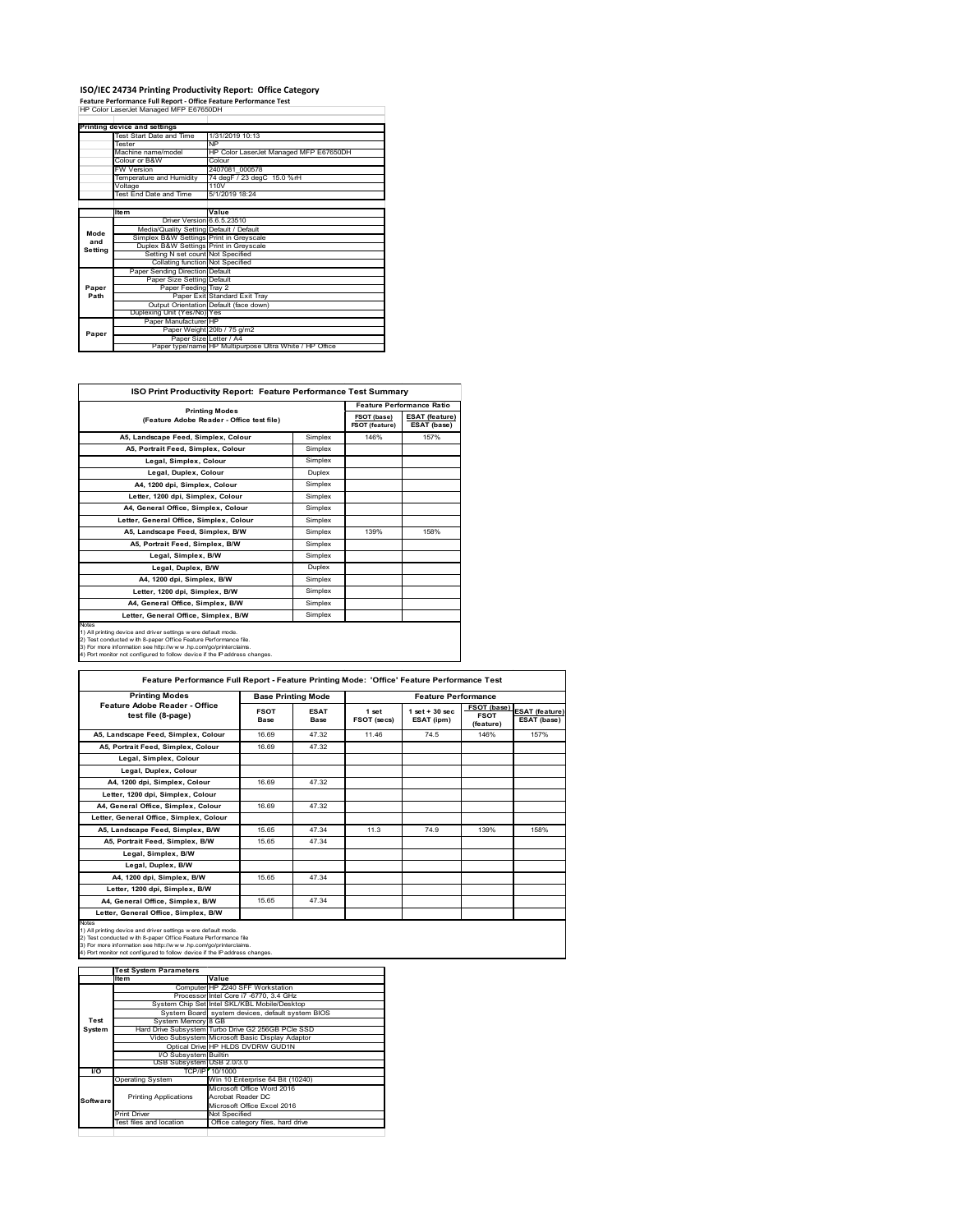## **ISO/IEC 24734 Printing Productivity Report: Office Category Feature Performance Full Report ‐ Office Feature Performance Test** HP Color LaserJet Managed MFP E67650DH

|             | Printing device and settings            |                                                         |
|-------------|-----------------------------------------|---------------------------------------------------------|
|             | Test Start Date and Time                | 1/31/2019 10:13                                         |
|             | <b>Tester</b>                           | <b>NP</b>                                               |
|             | Machine name/model                      | HP Color LaserJet Managed MFP E67650DH                  |
|             | Colour or B&W                           | Colour                                                  |
|             | <b>FW Version</b>                       | 2407081 000578                                          |
|             | Temperature and Humidity                | 74 degF / 23 degC 15.0 %rH                              |
|             | Voltage                                 | 110V                                                    |
|             | <b>Test End Date and Time</b>           | 5/1/2019 18:24                                          |
|             |                                         |                                                         |
|             | Item                                    | Value                                                   |
|             | Driver Version 6.6.5.23510              |                                                         |
| Mode<br>and | Media/Quality Setting Default / Default |                                                         |
|             | Simplex B&W Settings Print in Greyscale |                                                         |
| Setting     | Duplex B&W Settings Print in Greyscale  |                                                         |
|             | Setting N set count Not Specified       |                                                         |
|             | Collating function Not Specified        |                                                         |
|             | Paper Sending Direction Default         |                                                         |
|             | Paper Size Setting Default              |                                                         |
| Paper       | Paper Feeding Tray 2                    |                                                         |
| Path        |                                         | Paper Exit Standard Exit Tray                           |
|             |                                         | Output Orientation Default (face down)                  |
|             | Duplexing Unit (Yes/No) Yes             |                                                         |
|             | Paper Manufacturer HP                   |                                                         |
| Paper       |                                         | Paper Weight 20lb / 75 g/m2                             |
|             | Paper Size Letter / A4                  |                                                         |
|             |                                         | Paper type/name HP Multipurpose Ultra White / HP Office |

| ISO Print Productivity Report: Feature Performance Test Summary                                                                                                                                                                                                                                    |         |                               |                                      |  |  |
|----------------------------------------------------------------------------------------------------------------------------------------------------------------------------------------------------------------------------------------------------------------------------------------------------|---------|-------------------------------|--------------------------------------|--|--|
|                                                                                                                                                                                                                                                                                                    |         |                               | <b>Feature Performance Ratio</b>     |  |  |
| <b>Printing Modes</b><br>(Feature Adobe Reader - Office test file)                                                                                                                                                                                                                                 |         | FSOT (base)<br>FSOT (feature) | <b>ESAT</b> (feature)<br>ESAT (base) |  |  |
| A5. Landscape Feed. Simplex. Colour                                                                                                                                                                                                                                                                | Simplex | 146%                          | 157%                                 |  |  |
| A5, Portrait Feed, Simplex, Colour                                                                                                                                                                                                                                                                 | Simplex |                               |                                      |  |  |
| Legal, Simplex, Colour                                                                                                                                                                                                                                                                             | Simplex |                               |                                      |  |  |
| Legal, Duplex, Colour                                                                                                                                                                                                                                                                              | Duplex  |                               |                                      |  |  |
| A4. 1200 dpi. Simplex. Colour                                                                                                                                                                                                                                                                      | Simplex |                               |                                      |  |  |
| Letter, 1200 dpi, Simplex, Colour                                                                                                                                                                                                                                                                  | Simplex |                               |                                      |  |  |
| A4, General Office, Simplex, Colour                                                                                                                                                                                                                                                                | Simplex |                               |                                      |  |  |
| Letter, General Office, Simplex, Colour                                                                                                                                                                                                                                                            | Simplex |                               |                                      |  |  |
| A5. Landscape Feed. Simplex, B/W                                                                                                                                                                                                                                                                   | Simplex | 139%                          | 158%                                 |  |  |
| A5, Portrait Feed, Simplex, B/W                                                                                                                                                                                                                                                                    | Simplex |                               |                                      |  |  |
| Legal, Simplex, B/W                                                                                                                                                                                                                                                                                | Simplex |                               |                                      |  |  |
| Legal, Duplex, B/W                                                                                                                                                                                                                                                                                 | Duplex  |                               |                                      |  |  |
| A4, 1200 dpi, Simplex, B/W                                                                                                                                                                                                                                                                         | Simplex |                               |                                      |  |  |
| Letter, 1200 dpi, Simplex, B/W                                                                                                                                                                                                                                                                     | Simplex |                               |                                      |  |  |
| A4. General Office. Simplex. B/W                                                                                                                                                                                                                                                                   | Simplex |                               |                                      |  |  |
| Letter, General Office, Simplex, B/W                                                                                                                                                                                                                                                               | Simplex |                               |                                      |  |  |
| <b>Notes</b><br>1) All printing device and driver settings w ere default mode.<br>2) Test conducted with 8-paper Office Feature Performance file.<br>3) For more information see http://www.hp.com/go/printerclaims.<br>4) Port monitor not configured to follow device if the IP address changes. |         |                               |                                      |  |  |

| <b>Printing Modes</b>                               |                     | <b>Base Printing Mode</b> |                      | <b>Feature Performance</b>      |                                         |                                      |  |
|-----------------------------------------------------|---------------------|---------------------------|----------------------|---------------------------------|-----------------------------------------|--------------------------------------|--|
| Feature Adobe Reader - Office<br>test file (8-page) | <b>FSOT</b><br>Base | <b>ESAT</b><br>Base       | 1 set<br>FSOT (secs) | $1$ set $+30$ sec<br>ESAT (ipm) | FSOT (base)<br><b>FSOT</b><br>(feature) | <b>ESAT (feature)</b><br>ESAT (base) |  |
| A5, Landscape Feed, Simplex, Colour                 | 16.69               | 47.32                     | 1146                 | 74.5                            | 146%                                    | 157%                                 |  |
| A5, Portrait Feed, Simplex, Colour                  | 16.69               | 47.32                     |                      |                                 |                                         |                                      |  |
| Legal, Simplex, Colour                              |                     |                           |                      |                                 |                                         |                                      |  |
| Legal, Duplex, Colour                               |                     |                           |                      |                                 |                                         |                                      |  |
| A4, 1200 dpi, Simplex, Colour                       | 16.69               | 47.32                     |                      |                                 |                                         |                                      |  |
| Letter, 1200 dpi, Simplex, Colour                   |                     |                           |                      |                                 |                                         |                                      |  |
| A4, General Office, Simplex, Colour                 | 16.69               | 47.32                     |                      |                                 |                                         |                                      |  |
| Letter, General Office, Simplex, Colour             |                     |                           |                      |                                 |                                         |                                      |  |
| A5, Landscape Feed, Simplex, B/W                    | 15.65               | 47.34                     | 11.3                 | 74 9                            | 139%                                    | 158%                                 |  |
| A5, Portrait Feed, Simplex, B/W                     | 15.65               | 47.34                     |                      |                                 |                                         |                                      |  |
| Legal, Simplex, B/W                                 |                     |                           |                      |                                 |                                         |                                      |  |
| Legal, Duplex, B/W                                  |                     |                           |                      |                                 |                                         |                                      |  |
| A4, 1200 dpi, Simplex, B/W                          | 15.65               | 47 34                     |                      |                                 |                                         |                                      |  |
| Letter, 1200 dpi, Simplex, B/W                      |                     |                           |                      |                                 |                                         |                                      |  |
| A4, General Office, Simplex, B/W                    | 15.65               | 47.34                     |                      |                                 |                                         |                                      |  |
| Letter, General Office, Simplex, B/W                |                     |                           |                      |                                 |                                         |                                      |  |

1) All printing device and driver settings were default mode.<br>2) Test conducted with 8-paper Office Feature Performance file<br>3) For more information see http://www.hp.com/go/printerclaims.<br>4) Port monitor not configured to

|           | <b>Test System Parameters</b> |                                                    |  |  |
|-----------|-------------------------------|----------------------------------------------------|--|--|
|           | <b>Item</b>                   | Value                                              |  |  |
|           |                               | Computer HP Z240 SFF Workstation                   |  |  |
|           |                               | Processor Intel Core i7 -6770, 3.4 GHz             |  |  |
|           |                               | System Chip Set Intel SKL/KBL Mobile/Desktop       |  |  |
|           |                               | System Board system devices, default system BIOS   |  |  |
| Test      | System Memory 8 GB            |                                                    |  |  |
| System    |                               | Hard Drive Subsystem Turbo Drive G2 256GB PCle SSD |  |  |
|           |                               | Video Subsystem Microsoft Basic Display Adaptor    |  |  |
|           |                               | Optical Drive HP HLDS DVDRW GUD1N                  |  |  |
|           | I/O Subsystem Builtin         |                                                    |  |  |
|           | USB Subsystem USB 2.0/3.0     |                                                    |  |  |
| <b>VO</b> |                               | TCP/IP/ 10/1000                                    |  |  |
|           | <b>Operating System</b>       | Win 10 Enterprise 64 Bit (10240)                   |  |  |
|           |                               | Microsoft Office Word 2016                         |  |  |
| Software  | <b>Printing Applications</b>  | Acrobat Reader DC                                  |  |  |
|           |                               | Microsoft Office Excel 2016                        |  |  |
|           | <b>Print Driver</b>           | Not Specified                                      |  |  |
|           | Test files and location       | Office category files, hard drive                  |  |  |
|           |                               |                                                    |  |  |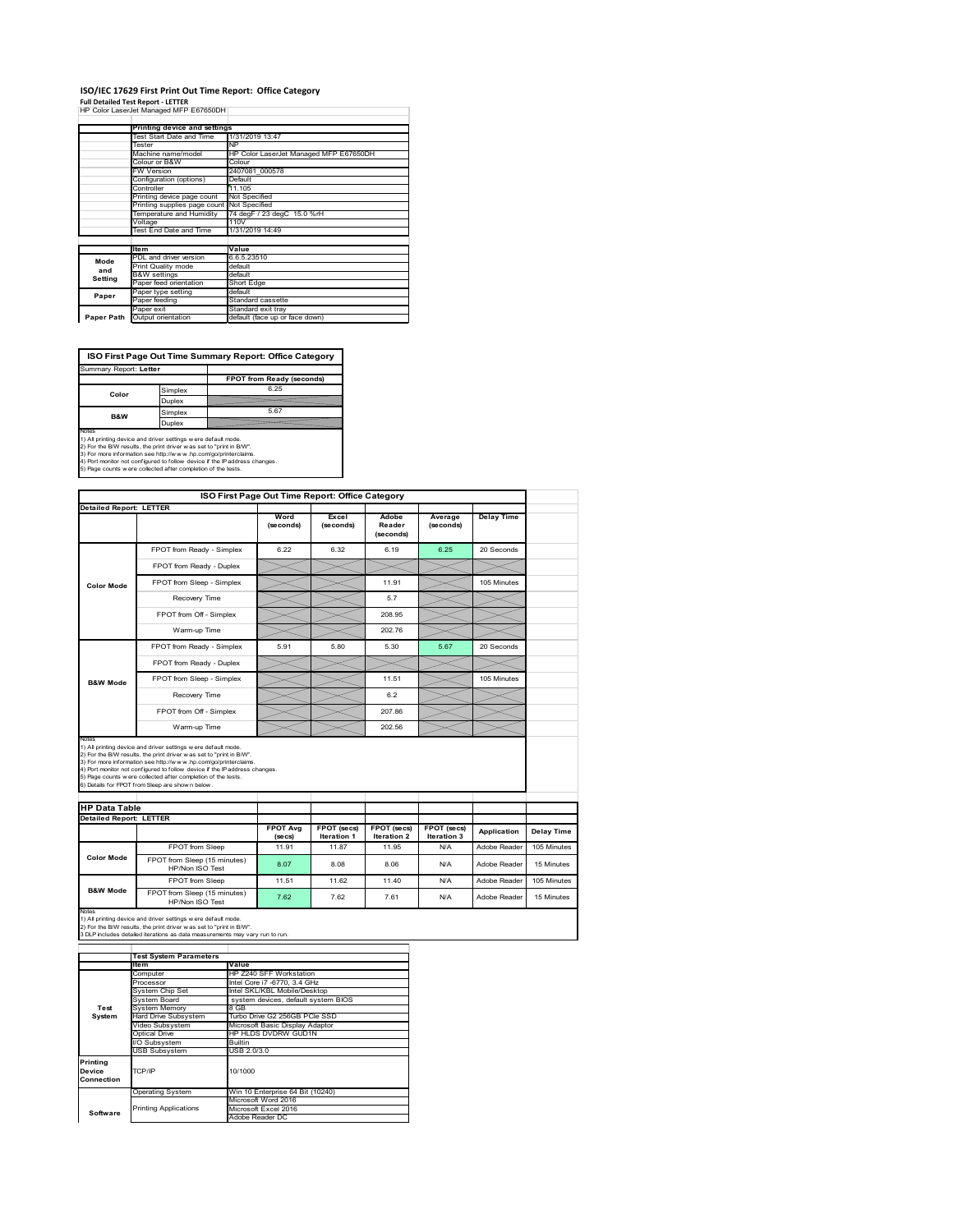### **ISO/IEC 17629 First Print Out Time Report: Office Category Full Detailed Test Report ‐ LETTER** HP Color LaserJet Managed MFP E67650DH

|            | Printing device and settings |                                        |
|------------|------------------------------|----------------------------------------|
|            | Test Start Date and Time     | 1/31/2019 13:47                        |
|            | Tester                       | <b>NP</b>                              |
|            | Machine name/model           | HP Color LaserJet Managed MFP E67650DH |
|            | Colour or B&W                | Colour                                 |
|            | FW Version                   | 2407081 000578                         |
|            | Configuration (options)      | Default                                |
|            | Controller                   | 11.105                                 |
|            | Printing device page count   | Not Specified                          |
|            | Printing supplies page count | Not Specified                          |
|            | Temperature and Humidity     | 74 degF / 23 degC 15.0 %rH             |
|            | Voltage                      | 110V                                   |
|            | Test End Date and Time       | 1/31/2019 14:49                        |
|            |                              |                                        |
|            | <b>Item</b>                  | Value                                  |
| Mode       | PDL and driver version       | 6.6.5.23510                            |
| and        | Print Quality mode           | default                                |
|            | <b>B&amp;W</b> settings      | default                                |
| Setting    | Paper feed orientation       | Short Edge                             |
| Paper      | Paper type setting           | default                                |
|            | Paper feeding                | Standard cassette                      |
|            | Paper exit                   | Standard exit tray                     |
| Paper Path | Output orientation           | default (face up or face down)         |

**ISO First Page Out Time Summary Report: Office Category**

| Summary Report: Letter |         |                           |
|------------------------|---------|---------------------------|
|                        |         | FPOT from Ready (seconds) |
| Color                  | Simplex | 6.25                      |
|                        | Duplex  |                           |
| B&W                    | Simplex | 5.67                      |
|                        | Duplex  |                           |
| Notes                  |         |                           |

Notes<br>1) All printing device and driver settings were default mode.<br>2) For the BW results, the print driver was set to "print in BW".<br>3) For more information see http://www.hp.com/golprinterclaims.<br>4) Port montor not confi

|                                |                                                                                                                                                                                                                                                                                                                                                                                                             | ISO First Page Out Time Report: Office Category |                                   |                                   |                            |                   |
|--------------------------------|-------------------------------------------------------------------------------------------------------------------------------------------------------------------------------------------------------------------------------------------------------------------------------------------------------------------------------------------------------------------------------------------------------------|-------------------------------------------------|-----------------------------------|-----------------------------------|----------------------------|-------------------|
| <b>Detailed Report: LETTER</b> |                                                                                                                                                                                                                                                                                                                                                                                                             | Word<br>(seconds)                               | Excel<br>(seconds)                | Adobe<br>Reader<br>(seconds)      | Average<br>(seconds)       | <b>Delay Time</b> |
|                                | FPOT from Ready - Simplex                                                                                                                                                                                                                                                                                                                                                                                   | 6.22                                            | 6.32                              | 6.19                              | 6.25                       | 20 Seconds        |
|                                | FPOT from Ready - Duplex                                                                                                                                                                                                                                                                                                                                                                                    |                                                 |                                   |                                   |                            |                   |
| <b>Color Mode</b>              | FPOT from Sleep - Simplex                                                                                                                                                                                                                                                                                                                                                                                   |                                                 |                                   | 11.91                             |                            | 105 Minutes       |
|                                | Recovery Time                                                                                                                                                                                                                                                                                                                                                                                               |                                                 |                                   | 5.7                               |                            |                   |
|                                | FPOT from Off - Simplex                                                                                                                                                                                                                                                                                                                                                                                     |                                                 |                                   | 208.95                            |                            |                   |
|                                | Warm-up Time                                                                                                                                                                                                                                                                                                                                                                                                |                                                 |                                   | 202.76                            |                            |                   |
|                                | FPOT from Ready - Simplex                                                                                                                                                                                                                                                                                                                                                                                   | 5.91                                            | 5.80                              | 5.30                              | 5.67                       | 20 Seconds        |
|                                | FPOT from Ready - Duplex                                                                                                                                                                                                                                                                                                                                                                                    |                                                 |                                   |                                   |                            |                   |
| <b>B&amp;W Mode</b>            | FPOT from Sleep - Simplex                                                                                                                                                                                                                                                                                                                                                                                   |                                                 |                                   | 11.51                             |                            | 105 Minutes       |
|                                | Recovery Time                                                                                                                                                                                                                                                                                                                                                                                               |                                                 |                                   | 6.2                               |                            |                   |
|                                |                                                                                                                                                                                                                                                                                                                                                                                                             |                                                 |                                   |                                   |                            |                   |
|                                | FPOT from Off - Simplex                                                                                                                                                                                                                                                                                                                                                                                     |                                                 |                                   | 207.86                            |                            |                   |
| Notes                          | Warm-up Time                                                                                                                                                                                                                                                                                                                                                                                                |                                                 |                                   | 202.56                            |                            |                   |
| <b>HP Data Table</b>           | 1) All printing device and driver settings w ere default mode.<br>2) For the B/W results, the print driver was set to "print in B/W".<br>3) For more information see http://www.hp.com/go/printerclaims.<br>4) Port monitor not configured to follow device if the IP address changes.<br>5) Page counts w ere collected after completion of the tests.<br>6) Details for FPOT from Sleep are show n below. |                                                 |                                   |                                   |                            |                   |
|                                |                                                                                                                                                                                                                                                                                                                                                                                                             |                                                 |                                   |                                   |                            |                   |
| <b>Detailed Report: LETTER</b> |                                                                                                                                                                                                                                                                                                                                                                                                             | <b>FPOT Avg</b><br>$($ se $cs)$                 | FPOT (secs)<br><b>Iteration 1</b> | FPOT (secs)<br><b>Iteration 2</b> | FPOT (secs)<br>Iteration 3 | Application       |
|                                | FPOT from Sleep                                                                                                                                                                                                                                                                                                                                                                                             | 11.91                                           | 11.87                             | 11.95                             | N/A                        | Adobe Reader      |
| <b>Color Mode</b>              | FPOT from Sleep (15 minutes)<br>HP/Non ISO Test                                                                                                                                                                                                                                                                                                                                                             | 8.07                                            | 8.08                              | 8.06                              | N/A                        | Adobe Reader      |
| <b>B&amp;W Mode</b>            | FPOT from Sleep                                                                                                                                                                                                                                                                                                                                                                                             | 11.51                                           | 11.62                             | 11.40                             | N/A                        | Adobe Reader      |

Notes<br>1) All printing device and driver settings w ere default mode.<br>2) For the B/W results, the print driver w as set to "print in B/W".<br>3 DLP includes detailed iterations as data measurements may vary run to run.

|                                  | <b>Test System Parameters</b> |                                     |
|----------------------------------|-------------------------------|-------------------------------------|
|                                  | <b>Item</b>                   | Value                               |
|                                  | Computer                      | HP Z240 SFF Workstation             |
|                                  | Processor                     | Intel Core i7 -6770, 3.4 GHz        |
|                                  | <b>System Chip Set</b>        | Intel SKL/KBL Mobile/Desktop        |
|                                  | System Board                  | system devices, default system BIOS |
| Test                             | <b>System Memory</b>          | 8 GB                                |
| System                           | <b>Hard Drive Subsystem</b>   | Turbo Drive G2 256GB PCle SSD       |
|                                  | Video Subsystem               | Microsoft Basic Display Adaptor     |
|                                  | Optical Drive                 | HP HLDS DVDRW GUD1N                 |
|                                  | I/O Subsystem                 | <b>Builtin</b>                      |
|                                  | <b>USB Subsystem</b>          | USB 2.0/3.0                         |
| Printing<br>Device<br>Connection | TCP/IP                        | 10/1000                             |
|                                  | <b>Operating System</b>       | Win 10 Enterprise 64 Bit (10240)    |
|                                  |                               | Microsoft Word 2016                 |
| Software                         | <b>Printing Applications</b>  | Microsoft Excel 2016                |
|                                  |                               | Adobe Reader DC                     |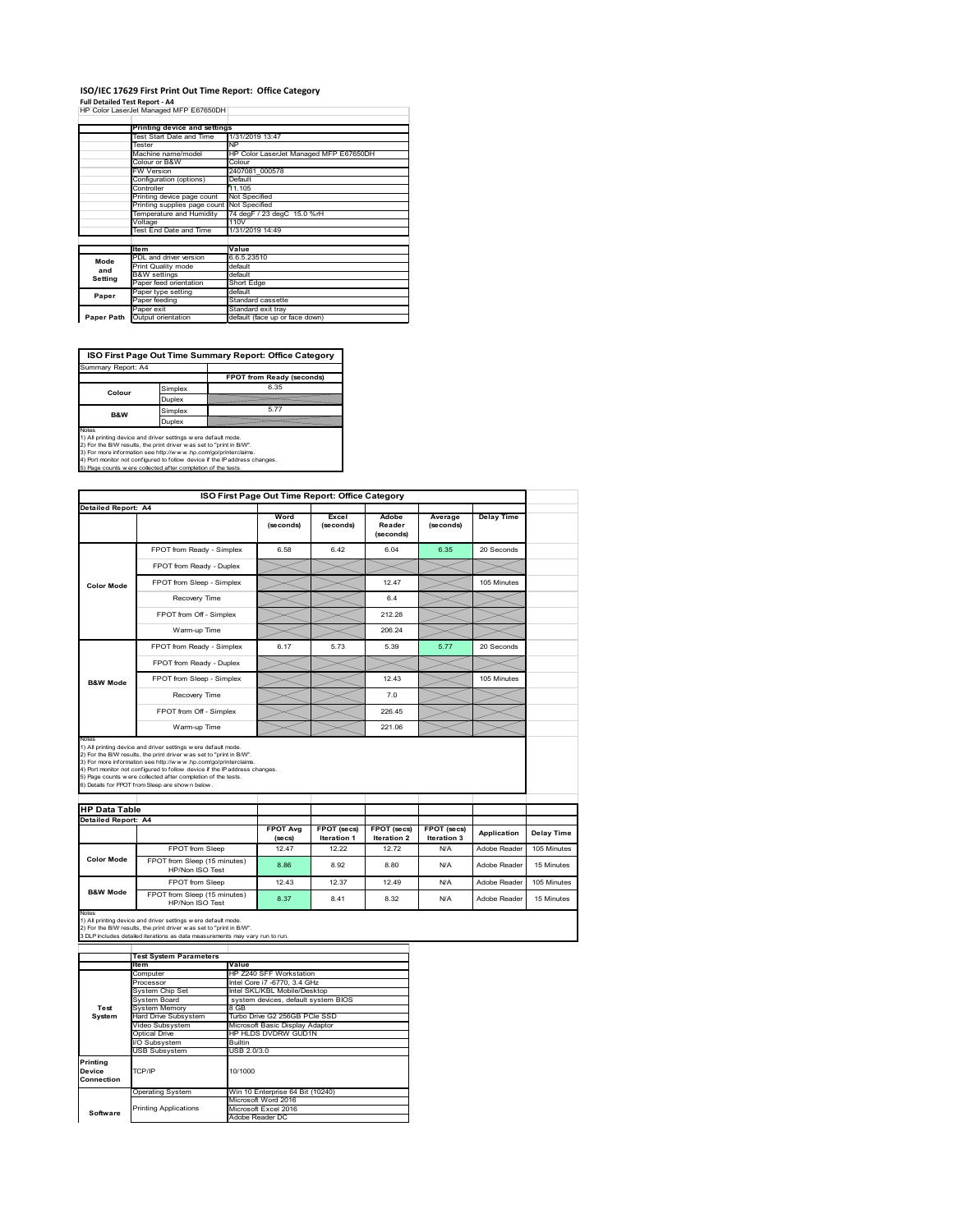## **ISO/IEC 17629 First Print Out Time Report: Office Category**

**Full Detailed Test Report ‐ A4** HP Color LaserJet Managed MFP E67650DH

|            | Printing device and settings               |                                        |
|------------|--------------------------------------------|----------------------------------------|
|            | Test Start Date and Time                   | 1/31/2019 13:47                        |
|            | Tester                                     | <b>NP</b>                              |
|            | Machine name/model                         | HP Color LaserJet Managed MFP E67650DH |
|            | Colour or B&W                              | Colour                                 |
|            | FW Version                                 | 2407081 000578                         |
|            | Configuration (options)                    | Default                                |
|            | Controller                                 | 11.105                                 |
|            | Printing device page count                 | Not Specified                          |
|            | Printing supplies page count Not Specified |                                        |
|            | Temperature and Humidity                   | 74 degF / 23 degC 15.0 %rH             |
|            | Voltage                                    | 110V                                   |
|            | Test End Date and Time                     | 1/31/2019 14:49                        |
|            |                                            |                                        |
|            | <b>Item</b>                                | Value                                  |
| Mode       | PDL and driver version                     | 6.6.5.23510                            |
| and        | Print Quality mode                         | default                                |
| Setting    | <b>B&amp;W</b> settings                    | default                                |
|            | Paper feed orientation                     | Short Edge                             |
| Paper      | Paper type setting                         | default                                |
|            | Paper feeding                              | Standard cassette                      |
|            | Paper exit                                 | Standard exit tray                     |
| Paper Path | Output orientation                         | default (face up or face down)         |

**ISO First Page Out Time Summary Report: Office Category**

| Summary Report: A4 |         |                           |
|--------------------|---------|---------------------------|
|                    |         | FPOT from Ready (seconds) |
| Colour             | Simplex | 6.35                      |
|                    | Duplex  |                           |
| <b>B&amp;W</b>     | Simplex | 577                       |
|                    | Duplex  |                           |
|                    |         |                           |

Notes<br>1) All printing device and driver settings were default mode.<br>2) For the BAV results, the print driver was set to "print in BAV".<br>3) For more information see http://www.hp.com/golprinterclaims.<br>4) Port monitor not co

|                            |                                                                                                                                                                                                                                                                                                                                                                                                             | ISO First Page Out Time Report: Office Category |                                          |                                   |                            |                   |                           |
|----------------------------|-------------------------------------------------------------------------------------------------------------------------------------------------------------------------------------------------------------------------------------------------------------------------------------------------------------------------------------------------------------------------------------------------------------|-------------------------------------------------|------------------------------------------|-----------------------------------|----------------------------|-------------------|---------------------------|
| <b>Detailed Report: A4</b> |                                                                                                                                                                                                                                                                                                                                                                                                             | Word<br>(seconds)                               | Excel<br>(seconds)                       | Adobe<br>Reader<br>(seconds)      | Average<br>(seconds)       | <b>Delay Time</b> |                           |
|                            | FPOT from Ready - Simplex                                                                                                                                                                                                                                                                                                                                                                                   | 6.58                                            | 6.42                                     | 6.04                              | 6.35                       | 20 Seconds        |                           |
|                            | FPOT from Ready - Duplex                                                                                                                                                                                                                                                                                                                                                                                    |                                                 |                                          |                                   |                            |                   |                           |
| <b>Color Mode</b>          | FPOT from Sleep - Simplex                                                                                                                                                                                                                                                                                                                                                                                   |                                                 |                                          | 12 47                             |                            | 105 Minutes       |                           |
|                            | Recovery Time                                                                                                                                                                                                                                                                                                                                                                                               |                                                 |                                          | 6.4                               |                            |                   |                           |
|                            | FPOT from Off - Simplex                                                                                                                                                                                                                                                                                                                                                                                     |                                                 |                                          | 212.28                            |                            |                   |                           |
|                            | Warm-up Time                                                                                                                                                                                                                                                                                                                                                                                                |                                                 |                                          | 206.24                            |                            |                   |                           |
|                            | FPOT from Ready - Simplex                                                                                                                                                                                                                                                                                                                                                                                   | 6.17                                            | 5.73                                     | 5.39                              | 5.77                       | 20 Seconds        |                           |
|                            | FPOT from Ready - Duplex                                                                                                                                                                                                                                                                                                                                                                                    |                                                 |                                          |                                   |                            |                   |                           |
| <b>B&amp;W Mode</b>        | FPOT from Sleep - Simplex                                                                                                                                                                                                                                                                                                                                                                                   |                                                 |                                          | 12.43                             |                            | 105 Minutes       |                           |
|                            | Recovery Time                                                                                                                                                                                                                                                                                                                                                                                               |                                                 |                                          | 70                                |                            |                   |                           |
|                            |                                                                                                                                                                                                                                                                                                                                                                                                             |                                                 |                                          |                                   |                            |                   |                           |
|                            | FPOT from Off - Simplex                                                                                                                                                                                                                                                                                                                                                                                     |                                                 |                                          | 226 45                            |                            |                   |                           |
| Notes                      | Warm-up Time                                                                                                                                                                                                                                                                                                                                                                                                |                                                 |                                          | 221.06                            |                            |                   |                           |
| <b>HP Data Table</b>       | 1) All printing device and driver settings w ere default mode.<br>2) For the B/W results, the print driver was set to "print in B/W".<br>3) For more information see http://www.hp.com/go/printerclaims.<br>4) Port monitor not configured to follow device if the IP address changes.<br>5) Page counts w ere collected after completion of the tests.<br>6) Details for FPOT from Sleep are show n below. |                                                 |                                          |                                   |                            |                   |                           |
| Detailed Report: A4        |                                                                                                                                                                                                                                                                                                                                                                                                             |                                                 |                                          |                                   |                            |                   |                           |
|                            |                                                                                                                                                                                                                                                                                                                                                                                                             | <b>FPOT Ava</b><br>(se cs)                      | <b>FPOT</b> (secs)<br><b>Iteration 1</b> | FPOT (secs)<br><b>Iteration 2</b> | FPOT (secs)<br>Iteration 3 | Application       |                           |
|                            | FPOT from Sleep                                                                                                                                                                                                                                                                                                                                                                                             | 12.47                                           | 12.22                                    | 12.72                             | N/A                        | Adobe Reader      | Delay Time<br>105 Minutes |
| <b>Color Mode</b>          | FPOT from Sleep (15 minutes)<br>HP/Non ISO Test                                                                                                                                                                                                                                                                                                                                                             | 8.86                                            | 8.92                                     | 8.80                              | N/A                        | Adobe Reader      |                           |
|                            | FPOT from Sleep                                                                                                                                                                                                                                                                                                                                                                                             | 12 43                                           | 12.37                                    | 12 49                             | N/A                        | Adobe Reader      | 15 Minutes<br>105 Minutes |

1) All printing device and driver settings w ere default mode.<br>2) For the B/W results, the print driver w as set to "print in B/W".<br>3 DLP includes detailed iterations as data measurements may vary run to run.

|            | <b>Test System Parameters</b> |                                     |
|------------|-------------------------------|-------------------------------------|
|            | Item                          | Value                               |
|            | Computer                      | HP Z240 SFF Workstation             |
|            | Processor                     | Intel Core i7 -6770, 3.4 GHz        |
|            | <b>System Chip Set</b>        | Intel SKL/KBL Mobile/Desktop        |
|            | System Board                  | system devices, default system BIOS |
| Test       | <b>System Memory</b>          | 8 GB                                |
| System     | Hard Drive Subsystem          | Turbo Drive G2 256GB PCle SSD       |
|            | Video Subsystem               | Microsoft Basic Display Adaptor     |
|            | Optical Drive                 | HP HLDS DVDRW GUD1N                 |
|            | I/O Subsystem                 | <b>Builtin</b>                      |
|            | <b>USB Subsystem</b>          | USB 2.0/3.0                         |
| Printing   |                               |                                     |
| Device     | TCP/IP                        | 10/1000                             |
| Connection |                               |                                     |
|            | <b>Operating System</b>       | Win 10 Enterprise 64 Bit (10240)    |
|            |                               | Microsoft Word 2016                 |
| Software   | <b>Printing Applications</b>  | Microsoft Excel 2016                |
|            |                               | Adobe Reader DC                     |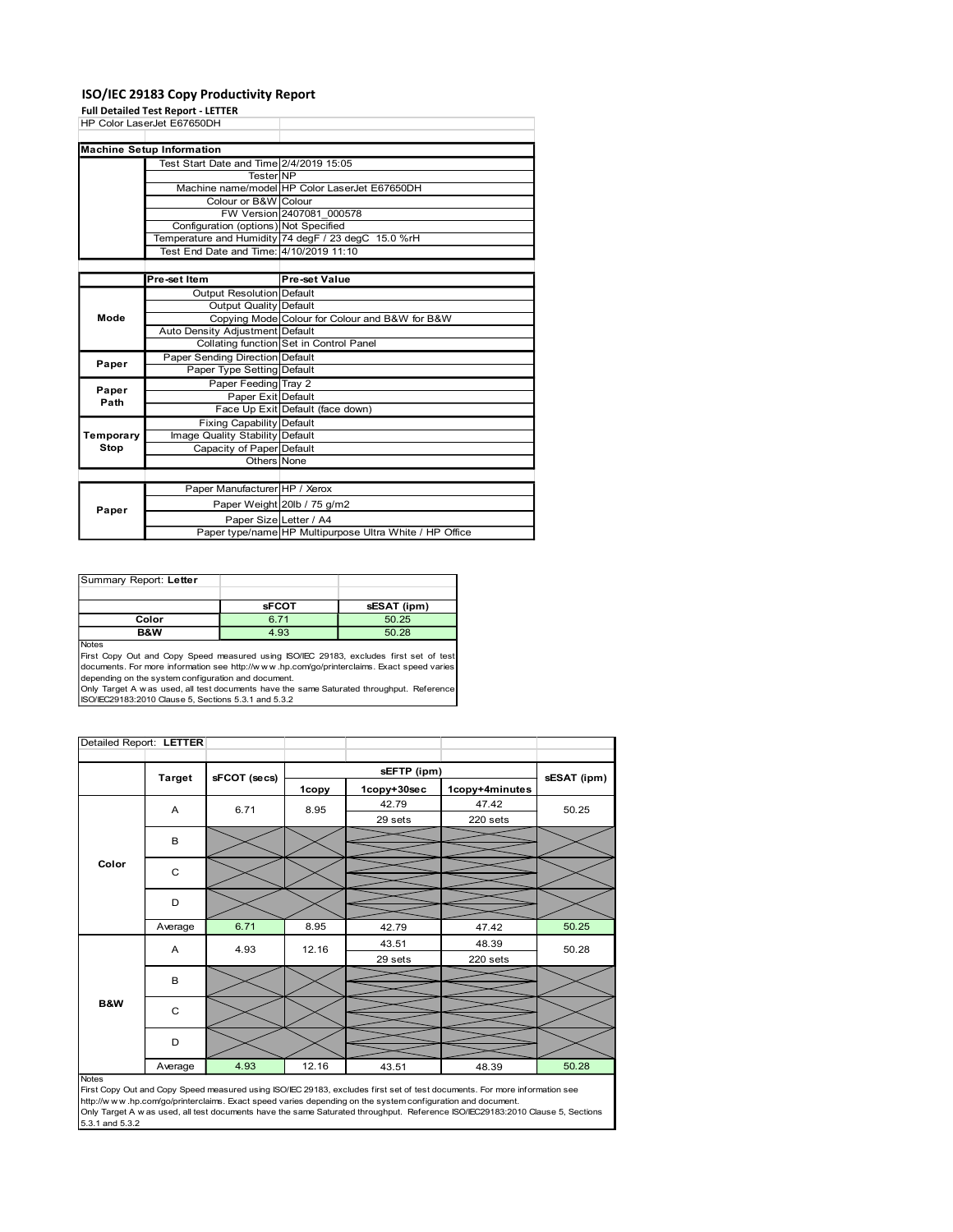### ISO/IEC 29183 Copy Productivity Report

|                                 | ISO/IEC 29183 Copy Productivity Report<br><b>Full Detailed Test Report - LETTER</b> |                                            |                                         |                                                                                                                                                                                      |  |
|---------------------------------|-------------------------------------------------------------------------------------|--------------------------------------------|-----------------------------------------|--------------------------------------------------------------------------------------------------------------------------------------------------------------------------------------|--|
|                                 | HP Color LaserJet E67650DH                                                          |                                            |                                         |                                                                                                                                                                                      |  |
|                                 | <b>Machine Setup Information</b>                                                    |                                            |                                         |                                                                                                                                                                                      |  |
|                                 | Test Start Date and Time 2/4/2019 15:05                                             | <b>Tester NP</b>                           |                                         |                                                                                                                                                                                      |  |
|                                 |                                                                                     | Colour or B&W Colour                       |                                         | Machine name/model HP Color LaserJet E67650DH                                                                                                                                        |  |
|                                 |                                                                                     |                                            | FW Version 2407081 000578               |                                                                                                                                                                                      |  |
|                                 |                                                                                     |                                            | Configuration (options) Not Specified   | Temperature and Humidity 74 degF / 23 degC 15.0 %rH                                                                                                                                  |  |
|                                 | Test End Date and Time: 4/10/2019 11:10                                             |                                            |                                         |                                                                                                                                                                                      |  |
|                                 | Pre-set Item                                                                        | Output Resolution Default                  | <b>Pre-set Value</b>                    |                                                                                                                                                                                      |  |
|                                 |                                                                                     | <b>Output Quality Default</b>              |                                         |                                                                                                                                                                                      |  |
| Mode                            | Auto Density Adjustment Default                                                     |                                            |                                         | Copying Mode Colour for Colour and B&W for B&W                                                                                                                                       |  |
|                                 | Paper Sending Direction Default                                                     |                                            | Collating function Set in Control Panel |                                                                                                                                                                                      |  |
| Paper                           |                                                                                     | Paper Type Setting Default                 |                                         |                                                                                                                                                                                      |  |
| Paper<br>Path                   |                                                                                     | Paper Feeding Tray 2<br>Paper Exit Default |                                         |                                                                                                                                                                                      |  |
|                                 |                                                                                     | Fixing Capability Default                  | Face Up Exit Default (face down)        |                                                                                                                                                                                      |  |
| Temporary<br>Stop               | Image Quality Stability Default                                                     | Capacity of Paper Default                  |                                         |                                                                                                                                                                                      |  |
|                                 |                                                                                     |                                            |                                         |                                                                                                                                                                                      |  |
|                                 |                                                                                     | Others None                                |                                         |                                                                                                                                                                                      |  |
|                                 |                                                                                     |                                            | Paper Manufacturer HP / Xerox           |                                                                                                                                                                                      |  |
| Paper                           |                                                                                     |                                            | Paper Weight 20lb / 75 g/m2             |                                                                                                                                                                                      |  |
|                                 |                                                                                     |                                            | Paper Size Letter / A4                  | Paper type/name HP Multipurpose Ultra White / HP Office                                                                                                                              |  |
|                                 |                                                                                     |                                            |                                         |                                                                                                                                                                                      |  |
|                                 |                                                                                     |                                            |                                         |                                                                                                                                                                                      |  |
|                                 |                                                                                     |                                            |                                         |                                                                                                                                                                                      |  |
|                                 | Color                                                                               | <b>sFCOT</b><br>6.71                       |                                         | sESAT (ipm)<br>50.25                                                                                                                                                                 |  |
|                                 | B&W                                                                                 | 4.93                                       |                                         | 50.28                                                                                                                                                                                |  |
|                                 |                                                                                     |                                            |                                         | First Copy Out and Copy Speed measured using ISO/IEC 29183, excludes first set of test<br>documents. For more information see http://www.hp.com/go/printerclaims. Exact speed varies |  |
|                                 | depending on the system configuration and document.                                 |                                            |                                         | Only Target A w as used, all test documents have the same Saturated throughput. Reference                                                                                            |  |
|                                 | ISO/IEC29183:2010 Clause 5, Sections 5.3.1 and 5.3.2                                |                                            |                                         |                                                                                                                                                                                      |  |
|                                 |                                                                                     |                                            |                                         |                                                                                                                                                                                      |  |
| Summary Report: Letter<br>Notes | Detailed Report: LETTER                                                             |                                            |                                         | sEFTP (ipm)                                                                                                                                                                          |  |

| Summary Report: Letter |              |             |
|------------------------|--------------|-------------|
|                        |              |             |
|                        | <b>sFCOT</b> | sESAT (ipm) |
| Color                  | 6.71         | 50.25       |
| <b>B&amp;W</b>         | 4.93         | 50.28       |
|                        |              |             |

|                                                                                                                                                                                                                                                                                                                                                                                                           |         | Paper Feeding Tray 2             |       |                                                                                                            |                                                                                                                                |             |
|-----------------------------------------------------------------------------------------------------------------------------------------------------------------------------------------------------------------------------------------------------------------------------------------------------------------------------------------------------------------------------------------------------------|---------|----------------------------------|-------|------------------------------------------------------------------------------------------------------------|--------------------------------------------------------------------------------------------------------------------------------|-------------|
| Paper                                                                                                                                                                                                                                                                                                                                                                                                     |         | Paper Exit Default               |       |                                                                                                            |                                                                                                                                |             |
| Path                                                                                                                                                                                                                                                                                                                                                                                                      |         | Face Up Exit Default (face down) |       |                                                                                                            |                                                                                                                                |             |
|                                                                                                                                                                                                                                                                                                                                                                                                           |         | <b>Fixing Capability Default</b> |       |                                                                                                            |                                                                                                                                |             |
| Temporary                                                                                                                                                                                                                                                                                                                                                                                                 |         | Image Quality Stability Default  |       |                                                                                                            |                                                                                                                                |             |
| Stop                                                                                                                                                                                                                                                                                                                                                                                                      |         | Capacity of Paper Default        |       |                                                                                                            |                                                                                                                                |             |
|                                                                                                                                                                                                                                                                                                                                                                                                           |         | Others None                      |       |                                                                                                            |                                                                                                                                |             |
|                                                                                                                                                                                                                                                                                                                                                                                                           |         |                                  |       |                                                                                                            |                                                                                                                                |             |
|                                                                                                                                                                                                                                                                                                                                                                                                           |         | Paper Manufacturer HP / Xerox    |       |                                                                                                            |                                                                                                                                |             |
|                                                                                                                                                                                                                                                                                                                                                                                                           |         | Paper Weight 20lb / 75 g/m2      |       |                                                                                                            |                                                                                                                                |             |
| Paper                                                                                                                                                                                                                                                                                                                                                                                                     |         | Paper Size Letter / A4           |       |                                                                                                            |                                                                                                                                |             |
|                                                                                                                                                                                                                                                                                                                                                                                                           |         |                                  |       | Paper type/name HP Multipurpose Ultra White / HP Office                                                    |                                                                                                                                |             |
|                                                                                                                                                                                                                                                                                                                                                                                                           |         |                                  |       |                                                                                                            |                                                                                                                                |             |
| Summary Report: Letter                                                                                                                                                                                                                                                                                                                                                                                    |         |                                  |       |                                                                                                            |                                                                                                                                |             |
|                                                                                                                                                                                                                                                                                                                                                                                                           |         | <b>sFCOT</b>                     |       | sESAT (ipm)                                                                                                |                                                                                                                                |             |
|                                                                                                                                                                                                                                                                                                                                                                                                           | Color   | 6.71                             |       | 50.25                                                                                                      |                                                                                                                                |             |
|                                                                                                                                                                                                                                                                                                                                                                                                           | B&W     | 4.93                             |       | 50.28                                                                                                      |                                                                                                                                |             |
| Notes<br>First Copy Out and Copy Speed measured using ISO/IEC 29183, excludes first set of test<br>documents. For more information see http://www.hp.com/go/printerclaims. Exact speed varies<br>depending on the system configuration and document.<br>Only Target A w as used, all test documents have the same Saturated throughput. Reference<br>ISO/IEC29183:2010 Clause 5, Sections 5.3.1 and 5.3.2 |         |                                  |       |                                                                                                            |                                                                                                                                |             |
| Detailed Report: LETTER                                                                                                                                                                                                                                                                                                                                                                                   |         |                                  |       |                                                                                                            |                                                                                                                                |             |
|                                                                                                                                                                                                                                                                                                                                                                                                           |         |                                  |       |                                                                                                            |                                                                                                                                |             |
|                                                                                                                                                                                                                                                                                                                                                                                                           |         |                                  |       | sEFTP (ipm)                                                                                                |                                                                                                                                |             |
|                                                                                                                                                                                                                                                                                                                                                                                                           | Target  | sFCOT (secs)                     | 1copy | 1copy+30sec                                                                                                | 1copy+4minutes                                                                                                                 | sESAT (ipm) |
|                                                                                                                                                                                                                                                                                                                                                                                                           |         |                                  |       | 42.79                                                                                                      | 47.42                                                                                                                          |             |
|                                                                                                                                                                                                                                                                                                                                                                                                           | Α       | 6.71                             | 8.95  | 29 sets                                                                                                    | 220 sets                                                                                                                       | 50.25       |
|                                                                                                                                                                                                                                                                                                                                                                                                           |         |                                  |       |                                                                                                            |                                                                                                                                |             |
|                                                                                                                                                                                                                                                                                                                                                                                                           | В       |                                  |       |                                                                                                            |                                                                                                                                |             |
| Color                                                                                                                                                                                                                                                                                                                                                                                                     |         |                                  |       |                                                                                                            |                                                                                                                                |             |
|                                                                                                                                                                                                                                                                                                                                                                                                           | C       |                                  |       |                                                                                                            |                                                                                                                                |             |
|                                                                                                                                                                                                                                                                                                                                                                                                           |         |                                  |       |                                                                                                            |                                                                                                                                |             |
|                                                                                                                                                                                                                                                                                                                                                                                                           | D       |                                  |       |                                                                                                            |                                                                                                                                |             |
|                                                                                                                                                                                                                                                                                                                                                                                                           |         |                                  |       |                                                                                                            |                                                                                                                                |             |
|                                                                                                                                                                                                                                                                                                                                                                                                           | Average | 6.71                             | 8.95  | 42.79                                                                                                      | 47.42                                                                                                                          | 50.25       |
|                                                                                                                                                                                                                                                                                                                                                                                                           | A       | 4.93                             | 12.16 | 43.51                                                                                                      | 48.39                                                                                                                          | 50.28       |
|                                                                                                                                                                                                                                                                                                                                                                                                           |         |                                  |       | 29 sets                                                                                                    | 220 sets                                                                                                                       |             |
|                                                                                                                                                                                                                                                                                                                                                                                                           | В       |                                  |       |                                                                                                            |                                                                                                                                |             |
|                                                                                                                                                                                                                                                                                                                                                                                                           |         |                                  |       |                                                                                                            |                                                                                                                                |             |
| B&W                                                                                                                                                                                                                                                                                                                                                                                                       |         |                                  |       |                                                                                                            |                                                                                                                                |             |
|                                                                                                                                                                                                                                                                                                                                                                                                           | C       |                                  |       |                                                                                                            |                                                                                                                                |             |
|                                                                                                                                                                                                                                                                                                                                                                                                           |         |                                  |       |                                                                                                            |                                                                                                                                |             |
|                                                                                                                                                                                                                                                                                                                                                                                                           | D       |                                  |       |                                                                                                            |                                                                                                                                |             |
|                                                                                                                                                                                                                                                                                                                                                                                                           |         | 4.93                             | 12.16 | 43.51                                                                                                      | 48.39                                                                                                                          | 50.28       |
| Notes                                                                                                                                                                                                                                                                                                                                                                                                     | Average |                                  |       |                                                                                                            |                                                                                                                                |             |
|                                                                                                                                                                                                                                                                                                                                                                                                           |         |                                  |       |                                                                                                            | First Copy Out and Copy Speed measured using ISO/IEC 29183, excludes first set of test documents. For more information see     |             |
|                                                                                                                                                                                                                                                                                                                                                                                                           |         |                                  |       | http://www.hp.com/go/printerclaims. Exact speed varies depending on the system configuration and document. |                                                                                                                                |             |
|                                                                                                                                                                                                                                                                                                                                                                                                           |         |                                  |       |                                                                                                            | Only Target A w as used, all test documents have the same Saturated throughput. Reference ISO/IEC29183:2010 Clause 5, Sections |             |
| 5.3.1 and 5.3.2                                                                                                                                                                                                                                                                                                                                                                                           |         |                                  |       |                                                                                                            |                                                                                                                                |             |
|                                                                                                                                                                                                                                                                                                                                                                                                           |         |                                  |       |                                                                                                            |                                                                                                                                |             |
|                                                                                                                                                                                                                                                                                                                                                                                                           |         |                                  |       |                                                                                                            |                                                                                                                                |             |
|                                                                                                                                                                                                                                                                                                                                                                                                           |         |                                  |       |                                                                                                            |                                                                                                                                |             |
|                                                                                                                                                                                                                                                                                                                                                                                                           |         |                                  |       |                                                                                                            |                                                                                                                                |             |
|                                                                                                                                                                                                                                                                                                                                                                                                           |         |                                  |       |                                                                                                            |                                                                                                                                |             |
|                                                                                                                                                                                                                                                                                                                                                                                                           |         |                                  |       |                                                                                                            |                                                                                                                                |             |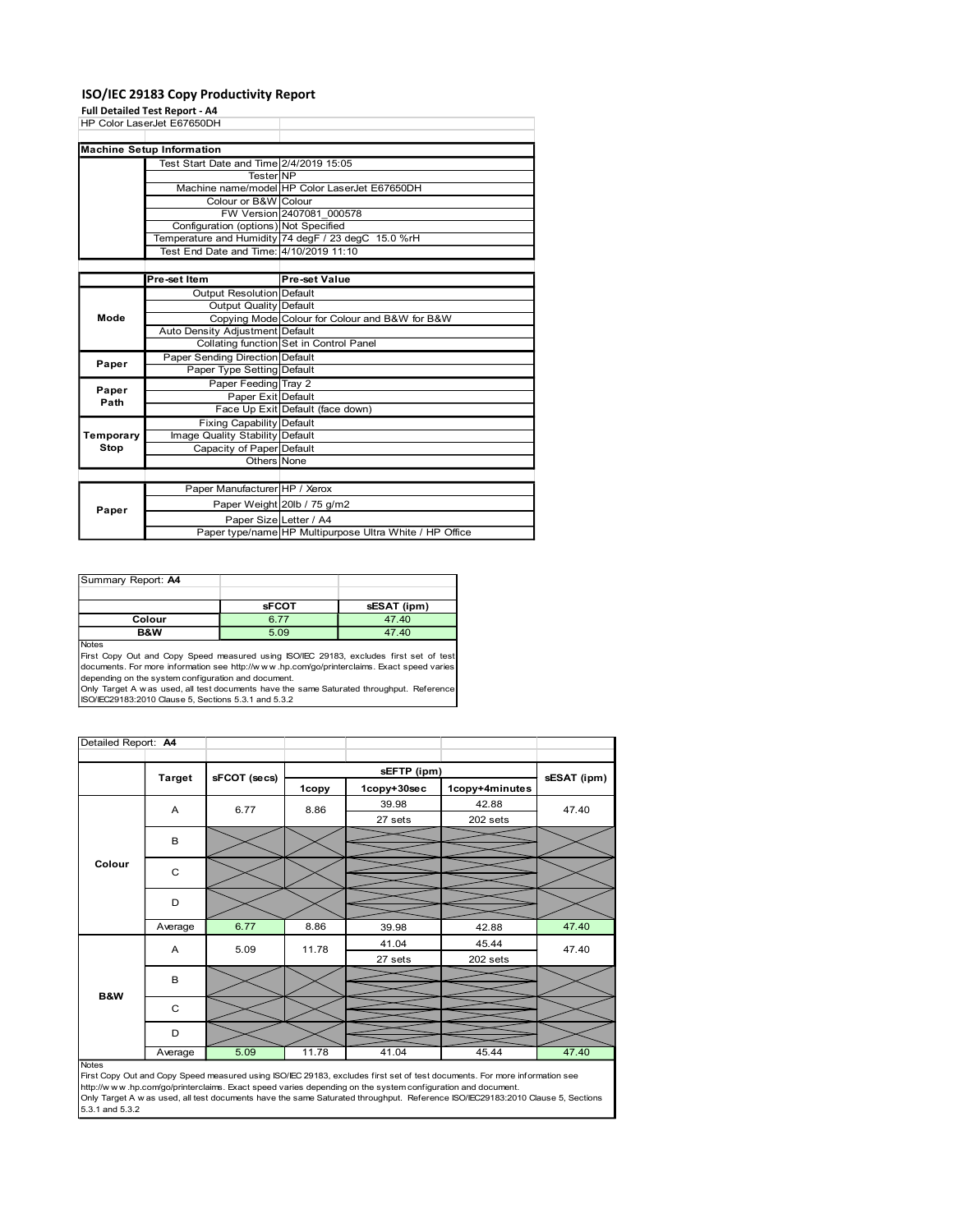### ISO/IEC 29183 Copy Productivity Report

|                                                    | ISO/IEC 29183 Copy Productivity Report<br>Full Detailed Test Report - A4                       |                                                        |                                                                                            |             |  |
|----------------------------------------------------|------------------------------------------------------------------------------------------------|--------------------------------------------------------|--------------------------------------------------------------------------------------------|-------------|--|
|                                                    | HP Color LaserJet E67650DH                                                                     |                                                        |                                                                                            |             |  |
|                                                    | <b>Machine Setup Information</b>                                                               |                                                        |                                                                                            |             |  |
|                                                    | Test Start Date and Time 2/4/2019 15:05                                                        | <b>Tester NP</b>                                       |                                                                                            |             |  |
|                                                    | Colour or B&W Colour                                                                           |                                                        | Machine name/model HP Color LaserJet E67650DH                                              |             |  |
|                                                    | Configuration (options) Not Specified                                                          | FW Version 2407081 000578                              |                                                                                            |             |  |
|                                                    | Temperature and Humidity 74 degF / 23 degC 15.0 %rH<br>Test End Date and Time: 4/10/2019 11:10 |                                                        |                                                                                            |             |  |
|                                                    |                                                                                                |                                                        |                                                                                            |             |  |
|                                                    | Pre-set Item<br>Output Resolution Default                                                      | <b>Pre-set Value</b>                                   |                                                                                            |             |  |
| Mode                                               |                                                                                                | <b>Output Quality Default</b>                          | Copying Mode Colour for Colour and B&W for B&W                                             |             |  |
|                                                    | Auto Density Adjustment Default                                                                |                                                        |                                                                                            |             |  |
| Paper                                              | Paper Sending Direction Default                                                                | Collating function Set in Control Panel                |                                                                                            |             |  |
|                                                    | Paper Type Setting Default<br>Paper Feeding Tray 2                                             |                                                        |                                                                                            |             |  |
| Paper<br>Path                                      |                                                                                                | Paper Exit Default<br>Face Up Exit Default (face down) |                                                                                            |             |  |
|                                                    | Fixing Capability Default                                                                      |                                                        |                                                                                            |             |  |
| Temporary<br>Stop                                  | Image Quality Stability Default<br>Capacity of Paper Default                                   |                                                        |                                                                                            |             |  |
|                                                    |                                                                                                | Others None                                            |                                                                                            |             |  |
|                                                    |                                                                                                | Paper Manufacturer HP / Xerox                          |                                                                                            |             |  |
|                                                    |                                                                                                |                                                        |                                                                                            |             |  |
| Paper                                              |                                                                                                | Paper Weight 20lb / 75 g/m2                            |                                                                                            |             |  |
|                                                    |                                                                                                | Paper Size Letter / A4                                 | Paper type/name HP Multipurpose Ultra White / HP Office                                    |             |  |
|                                                    |                                                                                                |                                                        |                                                                                            |             |  |
|                                                    |                                                                                                |                                                        |                                                                                            |             |  |
|                                                    |                                                                                                | <b>sFCOT</b>                                           | sESAT (ipm)                                                                                |             |  |
|                                                    | Colour<br>B&W                                                                                  | 6.77<br>5.09                                           | 47.40<br>47.40                                                                             |             |  |
|                                                    |                                                                                                |                                                        | First Copy Out and Copy Speed measured using ISO/IEC 29183, excludes first set of test     |             |  |
|                                                    | depending on the system configuration and document.                                            |                                                        | documents. For more information see http://www.hp.com/go/printerclaims. Exact speed varies |             |  |
|                                                    | ISO/IEC29183:2010 Clause 5, Sections 5.3.1 and 5.3.2                                           |                                                        | Only Target A w as used, all test documents have the same Saturated throughput. Reference  |             |  |
|                                                    |                                                                                                |                                                        |                                                                                            |             |  |
|                                                    |                                                                                                |                                                        |                                                                                            |             |  |
| Summary Report: A4<br>Notes<br>Detailed Report: A4 | sFCOT (secs)<br>Target                                                                         |                                                        | sEFTP (ipm)                                                                                | sESAT (ipm) |  |

| Summary Report: A4 |              |             |
|--------------------|--------------|-------------|
|                    |              |             |
|                    | <b>sFCOT</b> | sESAT (ipm) |
| Colour             | 6.77         | 47.40       |
| <b>B&amp;W</b>     | 5.09         | 47.40       |
| <b>Notes</b>       |              |             |

| Paper<br>Path               |               | Paper Type Setting Default                                                                                                                  |                                                                                   |                                                                                                                                                                                                                                                                                                                    |                                                                                                                                                                                                                                                              |             |
|-----------------------------|---------------|---------------------------------------------------------------------------------------------------------------------------------------------|-----------------------------------------------------------------------------------|--------------------------------------------------------------------------------------------------------------------------------------------------------------------------------------------------------------------------------------------------------------------------------------------------------------------|--------------------------------------------------------------------------------------------------------------------------------------------------------------------------------------------------------------------------------------------------------------|-------------|
|                             |               | Paper Feeding Tray 2                                                                                                                        |                                                                                   |                                                                                                                                                                                                                                                                                                                    |                                                                                                                                                                                                                                                              |             |
|                             |               | Paper Exit Default                                                                                                                          |                                                                                   |                                                                                                                                                                                                                                                                                                                    |                                                                                                                                                                                                                                                              |             |
|                             |               | Face Up Exit Default (face down)                                                                                                            |                                                                                   |                                                                                                                                                                                                                                                                                                                    |                                                                                                                                                                                                                                                              |             |
|                             |               | Fixing Capability Default                                                                                                                   |                                                                                   |                                                                                                                                                                                                                                                                                                                    |                                                                                                                                                                                                                                                              |             |
| Temporary                   |               | Image Quality Stability Default                                                                                                             |                                                                                   |                                                                                                                                                                                                                                                                                                                    |                                                                                                                                                                                                                                                              |             |
| Stop                        |               | Capacity of Paper Default                                                                                                                   |                                                                                   |                                                                                                                                                                                                                                                                                                                    |                                                                                                                                                                                                                                                              |             |
|                             |               | Others None                                                                                                                                 |                                                                                   |                                                                                                                                                                                                                                                                                                                    |                                                                                                                                                                                                                                                              |             |
|                             |               | Paper Manufacturer HP / Xerox                                                                                                               |                                                                                   |                                                                                                                                                                                                                                                                                                                    |                                                                                                                                                                                                                                                              |             |
|                             |               | Paper Weight 20lb / 75 g/m2                                                                                                                 |                                                                                   |                                                                                                                                                                                                                                                                                                                    |                                                                                                                                                                                                                                                              |             |
| Paper                       |               |                                                                                                                                             |                                                                                   |                                                                                                                                                                                                                                                                                                                    |                                                                                                                                                                                                                                                              |             |
|                             |               |                                                                                                                                             | Paper Size Letter / A4<br>Paper type/name HP Multipurpose Ultra White / HP Office |                                                                                                                                                                                                                                                                                                                    |                                                                                                                                                                                                                                                              |             |
| Summary Report: A4<br>Notes | Colour<br>B&W | <b>sFCOT</b><br>6.77<br>5.09<br>depending on the system configuration and document.<br>ISO/IEC29183:2010 Clause 5, Sections 5.3.1 and 5.3.2 |                                                                                   | sESAT (ipm)<br>47.40<br>47.40<br>First Copy Out and Copy Speed measured using ISO/IEC 29183, excludes first set of test<br>documents. For more information see http://www.hp.com/go/printerclaims. Exact speed varies<br>Only Target A w as used, all test documents have the same Saturated throughput. Reference |                                                                                                                                                                                                                                                              |             |
| Detailed Report: A4         |               |                                                                                                                                             |                                                                                   |                                                                                                                                                                                                                                                                                                                    |                                                                                                                                                                                                                                                              |             |
|                             |               |                                                                                                                                             |                                                                                   |                                                                                                                                                                                                                                                                                                                    |                                                                                                                                                                                                                                                              |             |
|                             | <b>Target</b> | sFCOT (secs)                                                                                                                                |                                                                                   | sEFTP (ipm)                                                                                                                                                                                                                                                                                                        |                                                                                                                                                                                                                                                              | sESAT (ipm) |
|                             |               |                                                                                                                                             | 1copy                                                                             | 1copy+30sec                                                                                                                                                                                                                                                                                                        | 1copy+4minutes                                                                                                                                                                                                                                               |             |
|                             | Α             | 6.77                                                                                                                                        | 8.86                                                                              | 39.98<br>27 sets                                                                                                                                                                                                                                                                                                   | 42.88<br>202 sets                                                                                                                                                                                                                                            | 47.40       |
|                             |               |                                                                                                                                             |                                                                                   |                                                                                                                                                                                                                                                                                                                    |                                                                                                                                                                                                                                                              |             |
|                             | в             |                                                                                                                                             |                                                                                   |                                                                                                                                                                                                                                                                                                                    |                                                                                                                                                                                                                                                              |             |
| Colour                      |               |                                                                                                                                             |                                                                                   |                                                                                                                                                                                                                                                                                                                    |                                                                                                                                                                                                                                                              |             |
|                             | C             |                                                                                                                                             |                                                                                   |                                                                                                                                                                                                                                                                                                                    |                                                                                                                                                                                                                                                              |             |
|                             |               |                                                                                                                                             |                                                                                   |                                                                                                                                                                                                                                                                                                                    |                                                                                                                                                                                                                                                              |             |
|                             | D             |                                                                                                                                             |                                                                                   |                                                                                                                                                                                                                                                                                                                    |                                                                                                                                                                                                                                                              |             |
|                             | Average       | 6.77                                                                                                                                        | 8.86                                                                              | 39.98                                                                                                                                                                                                                                                                                                              | 42.88                                                                                                                                                                                                                                                        | 47.40       |
|                             | A             | 5.09                                                                                                                                        | 11.78                                                                             | 41.04                                                                                                                                                                                                                                                                                                              | 45.44                                                                                                                                                                                                                                                        | 47.40       |
|                             |               |                                                                                                                                             |                                                                                   | 27 sets                                                                                                                                                                                                                                                                                                            | 202 sets                                                                                                                                                                                                                                                     |             |
|                             |               |                                                                                                                                             |                                                                                   |                                                                                                                                                                                                                                                                                                                    |                                                                                                                                                                                                                                                              |             |
|                             | В             |                                                                                                                                             |                                                                                   |                                                                                                                                                                                                                                                                                                                    |                                                                                                                                                                                                                                                              |             |
| B&W                         | С             |                                                                                                                                             |                                                                                   |                                                                                                                                                                                                                                                                                                                    |                                                                                                                                                                                                                                                              |             |
|                             |               |                                                                                                                                             |                                                                                   |                                                                                                                                                                                                                                                                                                                    |                                                                                                                                                                                                                                                              |             |
|                             | D             |                                                                                                                                             |                                                                                   |                                                                                                                                                                                                                                                                                                                    |                                                                                                                                                                                                                                                              |             |
|                             | Average       | 5.09                                                                                                                                        | 11.78                                                                             | 41.04                                                                                                                                                                                                                                                                                                              | 45.44                                                                                                                                                                                                                                                        | 47.40       |
| <b>Notes</b>                |               |                                                                                                                                             |                                                                                   | http://www.hp.com/go/printerclaims. Exact speed varies depending on the system configuration and document.                                                                                                                                                                                                         | First Copy Out and Copy Speed measured using ISO/IEC 29183, excludes first set of test documents. For more information see<br>Only Target A w as used, all test documents have the same Saturated throughput. Reference ISO/IEC29183:2010 Clause 5, Sections |             |
| 5.3.1 and 5.3.2             |               |                                                                                                                                             |                                                                                   |                                                                                                                                                                                                                                                                                                                    |                                                                                                                                                                                                                                                              |             |
|                             |               |                                                                                                                                             |                                                                                   |                                                                                                                                                                                                                                                                                                                    |                                                                                                                                                                                                                                                              |             |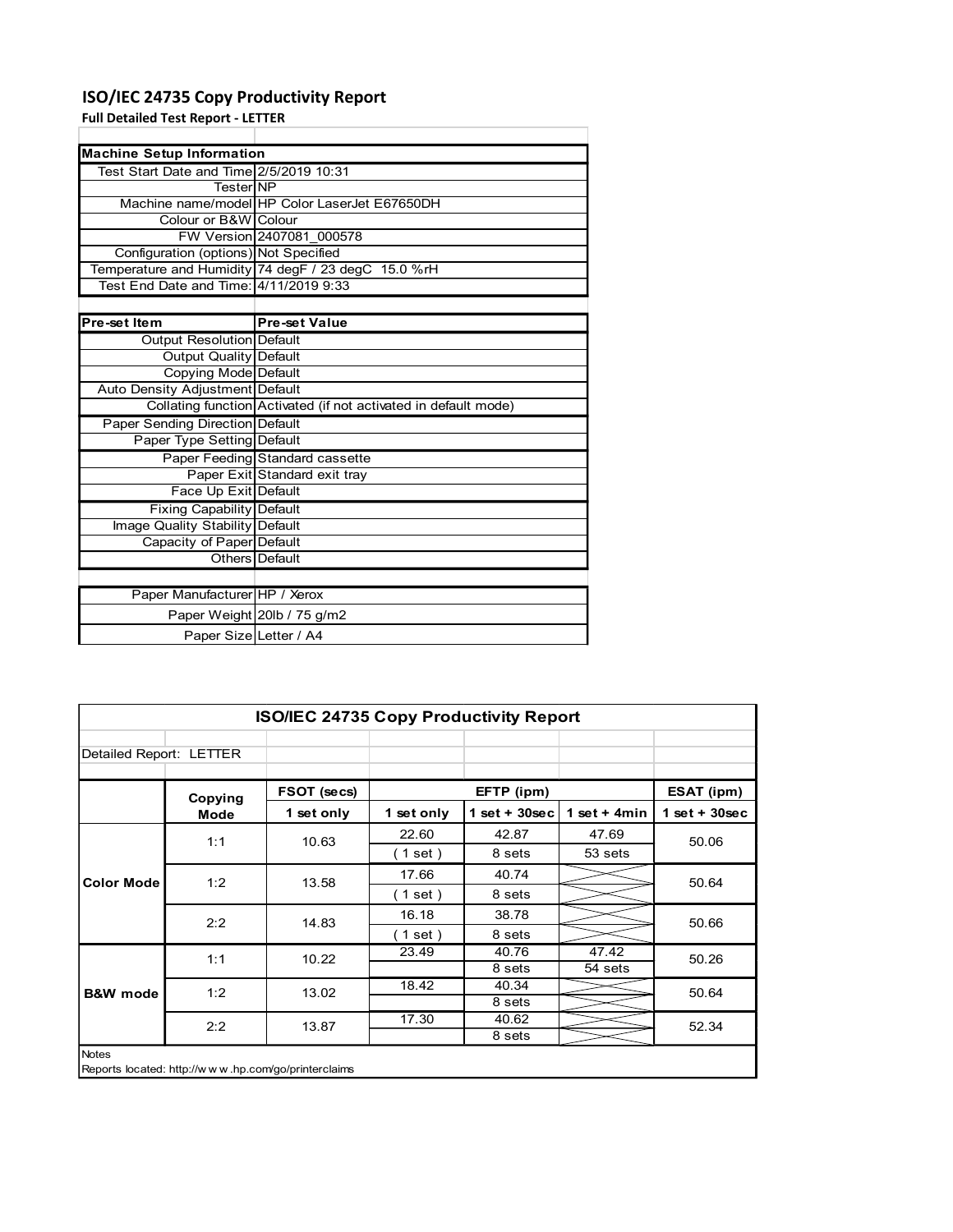### ISO/IEC 24735 Copy Productivity Report

| ISO/IEC 24735 Copy Productivity Report    |                                                                 |
|-------------------------------------------|-----------------------------------------------------------------|
| <b>Full Detailed Test Report - LETTER</b> |                                                                 |
|                                           |                                                                 |
| <b>Machine Setup Information</b>          |                                                                 |
| Test Start Date and Time 2/5/2019 10:31   |                                                                 |
| TesterINP                                 |                                                                 |
|                                           | Machine name/model HP Color LaserJet E67650DH                   |
| Colour or B&W Colour                      |                                                                 |
|                                           | FW Version 2407081 000578                                       |
| Configuration (options) Not Specified     |                                                                 |
|                                           | Temperature and Humidity 74 degF / 23 degC 15.0 %rH             |
| Test End Date and Time: 4/11/2019 9:33    |                                                                 |
| Pre-set Item                              | <b>Pre-set Value</b>                                            |
| Output Resolution Default                 |                                                                 |
| <b>Output Quality Default</b>             |                                                                 |
| Copying Mode Default                      |                                                                 |
| Auto Density Adjustment Default           |                                                                 |
|                                           | Collating function Activated (if not activated in default mode) |
| Paper Sending Direction Default           |                                                                 |
| Paper Type Setting Default                |                                                                 |
|                                           | Paper Feeding Standard cassette                                 |
|                                           | Paper Exit Standard exit tray                                   |
|                                           |                                                                 |
| Face Up Exit Default                      |                                                                 |
| <b>Fixing Capability Default</b>          |                                                                 |
| Image Quality Stability Default           |                                                                 |
| Capacity of Paper Default                 |                                                                 |
|                                           | Others Default                                                  |
|                                           |                                                                 |
| Paper Manufacturer HP / Xerox             |                                                                 |
|                                           | Paper Weight 20lb / 75 g/m2                                     |
|                                           | Paper Size Letter / A4                                          |
|                                           |                                                                 |
|                                           |                                                                 |
|                                           |                                                                 |
|                                           | ISO/IEC 24735 Copy Productivity Report                          |

|                                                                 | Auto Density Adjustment Default  |                                                     |            |                  |                 |                 |
|-----------------------------------------------------------------|----------------------------------|-----------------------------------------------------|------------|------------------|-----------------|-----------------|
| Collating function Activated (if not activated in default mode) |                                  |                                                     |            |                  |                 |                 |
|                                                                 | Paper Sending Direction Default  |                                                     |            |                  |                 |                 |
|                                                                 | Paper Type Setting Default       |                                                     |            |                  |                 |                 |
|                                                                 |                                  | Paper Feeding Standard cassette                     |            |                  |                 |                 |
|                                                                 |                                  | Paper Exit Standard exit tray                       |            |                  |                 |                 |
|                                                                 | Face Up Exit Default             |                                                     |            |                  |                 |                 |
|                                                                 | <b>Fixing Capability Default</b> |                                                     |            |                  |                 |                 |
|                                                                 | Image Quality Stability Default  |                                                     |            |                  |                 |                 |
|                                                                 | Capacity of Paper Default        |                                                     |            |                  |                 |                 |
|                                                                 | <b>Others</b> Default            |                                                     |            |                  |                 |                 |
|                                                                 | Paper Manufacturer HP / Xerox    |                                                     |            |                  |                 |                 |
|                                                                 | Paper Weight 20lb / 75 g/m2      |                                                     |            |                  |                 |                 |
|                                                                 | Paper Size Letter / A4           |                                                     |            |                  |                 |                 |
|                                                                 |                                  |                                                     |            |                  |                 |                 |
|                                                                 |                                  |                                                     |            |                  |                 |                 |
|                                                                 |                                  |                                                     |            |                  |                 |                 |
|                                                                 |                                  |                                                     |            |                  |                 |                 |
|                                                                 |                                  | ISO/IEC 24735 Copy Productivity Report              |            |                  |                 |                 |
|                                                                 |                                  |                                                     |            |                  |                 |                 |
| Detailed Report: LETTER                                         |                                  |                                                     |            |                  |                 |                 |
|                                                                 |                                  |                                                     |            |                  |                 |                 |
|                                                                 |                                  | FSOT (secs)                                         | EFTP (ipm) |                  |                 | ESAT (ipm)      |
|                                                                 | Copying<br><b>Mode</b>           | 1 set only                                          | 1 set only | $1 set + 30 sec$ | $1 set + 4 min$ | $1$ set + 30sec |
|                                                                 |                                  |                                                     | 22.60      | 42.87            |                 |                 |
|                                                                 | 1:1                              | 10.63                                               |            |                  | 47.69           | 50.06           |
|                                                                 |                                  |                                                     | (1 set)    | 8 sets           | 53 sets         |                 |
| <b>Color Mode</b>                                               | 1:2                              | 13.58                                               | 17.66      | 40.74            |                 | 50.64           |
|                                                                 |                                  |                                                     | (1 set)    | 8 sets           |                 |                 |
|                                                                 |                                  |                                                     | 16.18      | 38.78            |                 | 50.66           |
|                                                                 |                                  | 2:2<br>14.83                                        | (1 set)    | 8 sets           |                 |                 |
|                                                                 |                                  |                                                     |            |                  |                 |                 |
|                                                                 |                                  |                                                     |            |                  |                 |                 |
|                                                                 | 1:1                              | 10.22                                               | 23.49      | 40.76<br>8 sets  | 47.42           | 50.26           |
|                                                                 |                                  |                                                     | 18.42      | 40.34            | 54 sets         |                 |
| <b>B&amp;W</b> mode                                             | 1:2                              | 13.02                                               |            | 8 sets           |                 | 50.64           |
|                                                                 |                                  |                                                     | 17.30      | 40.62            |                 |                 |
|                                                                 | 2:2                              | 13.87                                               |            | 8 sets           |                 | 52.34           |
| Notes                                                           |                                  |                                                     |            |                  |                 |                 |
|                                                                 |                                  | Reports located: http://www.hp.com/go/printerclaims |            |                  |                 |                 |
|                                                                 |                                  |                                                     |            |                  |                 |                 |
|                                                                 |                                  |                                                     |            |                  |                 |                 |
|                                                                 |                                  |                                                     |            |                  |                 |                 |
|                                                                 |                                  |                                                     |            |                  |                 |                 |
|                                                                 |                                  |                                                     |            |                  |                 |                 |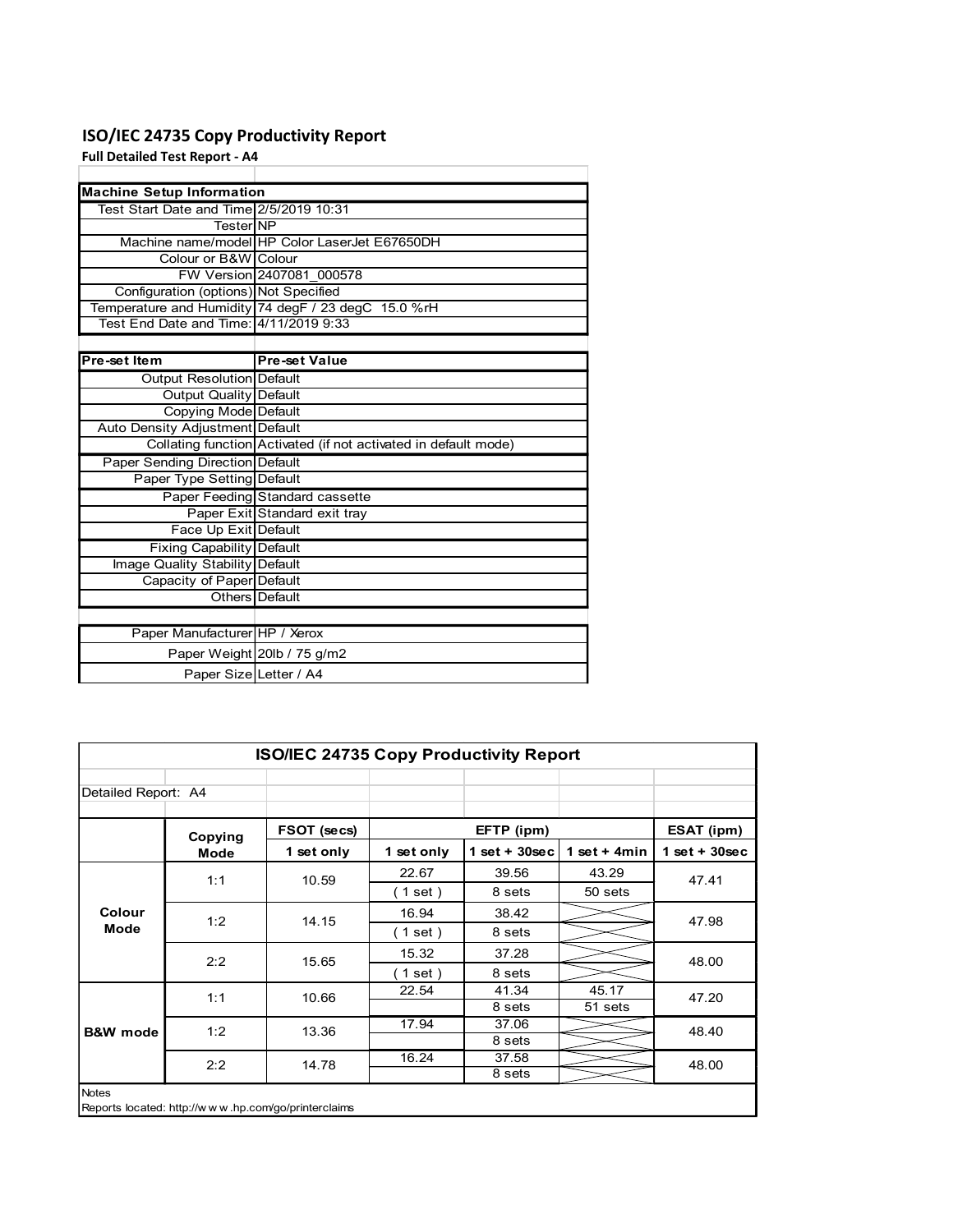### ISO/IEC 24735 Copy Productivity Report

| ISO/IEC 24735 Copy Productivity Report  |                                                                 |
|-----------------------------------------|-----------------------------------------------------------------|
| <b>Full Detailed Test Report - A4</b>   |                                                                 |
|                                         |                                                                 |
| <b>Machine Setup Information</b>        |                                                                 |
| Test Start Date and Time 2/5/2019 10:31 |                                                                 |
| Tester NP                               |                                                                 |
| Colour or B&W Colour                    | Machine name/model HP Color LaserJet E67650DH                   |
|                                         | FW Version 2407081 000578                                       |
| Configuration (options) Not Specified   |                                                                 |
|                                         | Temperature and Humidity 74 degF / 23 degC 15.0 %rH             |
| Test End Date and Time: 4/11/2019 9:33  |                                                                 |
|                                         |                                                                 |
| Pre-set Item                            | <b>Pre-set Value</b>                                            |
| Output Resolution Default               |                                                                 |
| <b>Output Quality Default</b>           |                                                                 |
| Copying Mode Default                    |                                                                 |
| Auto Density Adjustment Default         |                                                                 |
|                                         | Collating function Activated (if not activated in default mode) |
| Paper Sending Direction Default         |                                                                 |
| Paper Type Setting Default              |                                                                 |
|                                         | Paper Feeding Standard cassette                                 |
|                                         | Paper Exit Standard exit tray                                   |
| Face Up Exit Default                    |                                                                 |
| Fixing Capability Default               |                                                                 |
|                                         |                                                                 |
| Image Quality Stability Default         |                                                                 |
| Capacity of Paper Default               |                                                                 |
| Others                                  | Default                                                         |
|                                         |                                                                 |
| Paper Manufacturer HP / Xerox           |                                                                 |
|                                         |                                                                 |
|                                         | Paper Weight 20lb / 75 g/m2<br>Paper Size Letter / A4           |
|                                         |                                                                 |
|                                         |                                                                 |
|                                         |                                                                 |
|                                         |                                                                 |
|                                         | ISO/IEC 24735 Copy Productivity Report                          |

|                                                                 | Auto Density Adjustment Default                     |                                        |            |                   |                |                 |
|-----------------------------------------------------------------|-----------------------------------------------------|----------------------------------------|------------|-------------------|----------------|-----------------|
| Collating function Activated (if not activated in default mode) |                                                     |                                        |            |                   |                |                 |
|                                                                 | Paper Sending Direction Default                     |                                        |            |                   |                |                 |
|                                                                 | Paper Type Setting Default                          |                                        |            |                   |                |                 |
|                                                                 |                                                     | Paper Feeding Standard cassette        |            |                   |                |                 |
|                                                                 |                                                     | Paper Exit Standard exit tray          |            |                   |                |                 |
|                                                                 | Face Up Exit Default                                |                                        |            |                   |                |                 |
|                                                                 | Fixing Capability Default                           |                                        |            |                   |                |                 |
| Image Quality Stability Default<br>Capacity of Paper Default    |                                                     |                                        |            |                   |                |                 |
|                                                                 |                                                     |                                        |            |                   |                |                 |
|                                                                 | Others Default                                      |                                        |            |                   |                |                 |
|                                                                 |                                                     |                                        |            |                   |                |                 |
|                                                                 | Paper Manufacturer HP / Xerox                       |                                        |            |                   |                |                 |
|                                                                 | Paper Weight 20lb / 75 g/m2                         |                                        |            |                   |                |                 |
|                                                                 | Paper Size Letter / A4                              |                                        |            |                   |                |                 |
|                                                                 |                                                     |                                        |            |                   |                |                 |
|                                                                 |                                                     |                                        |            |                   |                |                 |
|                                                                 |                                                     |                                        |            |                   |                |                 |
|                                                                 |                                                     |                                        |            |                   |                |                 |
|                                                                 |                                                     | ISO/IEC 24735 Copy Productivity Report |            |                   |                |                 |
|                                                                 |                                                     |                                        |            |                   |                |                 |
| Detailed Report: A4                                             |                                                     |                                        |            |                   |                |                 |
|                                                                 |                                                     |                                        |            |                   |                |                 |
|                                                                 | Copying                                             | FSOT (secs)                            |            | EFTP (ipm)        |                | ESAT (ipm)      |
|                                                                 |                                                     |                                        |            |                   |                |                 |
|                                                                 | <b>Mode</b>                                         | 1 set only                             | 1 set only | $1 set + 30 sec$  | 1 set + $4min$ | $1$ set + 30sec |
|                                                                 |                                                     |                                        | 22.67      | 39.56             | 43.29          |                 |
|                                                                 | 1:1                                                 | 10.59                                  |            |                   |                | 47.41           |
|                                                                 |                                                     |                                        | (1 set)    | 8 sets            | 50 sets        |                 |
| Colour                                                          | 1:2                                                 | 14.15                                  | 16.94      | 38.42             |                | 47.98           |
| Mode                                                            |                                                     |                                        | (1 set)    | 8 <sub>sets</sub> |                |                 |
|                                                                 | 2:2                                                 | 15.65                                  | 15.32      | 37.28             |                | 48.00           |
|                                                                 |                                                     |                                        | (1 set)    | 8 sets            |                |                 |
|                                                                 |                                                     |                                        | 22.54      | 41.34             | 45.17          |                 |
|                                                                 | 1:1                                                 | 10.66                                  |            | 8 sets            | $51$ sets      | 47.20           |
| <b>B&amp;W</b> mode                                             | 1:2                                                 | 13.36                                  | 17.94      | 37.06             |                | 48.40           |
|                                                                 |                                                     |                                        |            | 8 sets            |                |                 |
|                                                                 | 2:2                                                 | 14.78                                  | 16.24      | 37.58             |                | 48.00           |
|                                                                 |                                                     |                                        |            | 8 sets            |                |                 |
| Notes                                                           |                                                     |                                        |            |                   |                |                 |
|                                                                 | Reports located: http://www.hp.com/go/printerclaims |                                        |            |                   |                |                 |
|                                                                 |                                                     |                                        |            |                   |                |                 |
|                                                                 |                                                     |                                        |            |                   |                |                 |
|                                                                 |                                                     |                                        |            |                   |                |                 |
|                                                                 |                                                     |                                        |            |                   |                |                 |
|                                                                 |                                                     |                                        |            |                   |                |                 |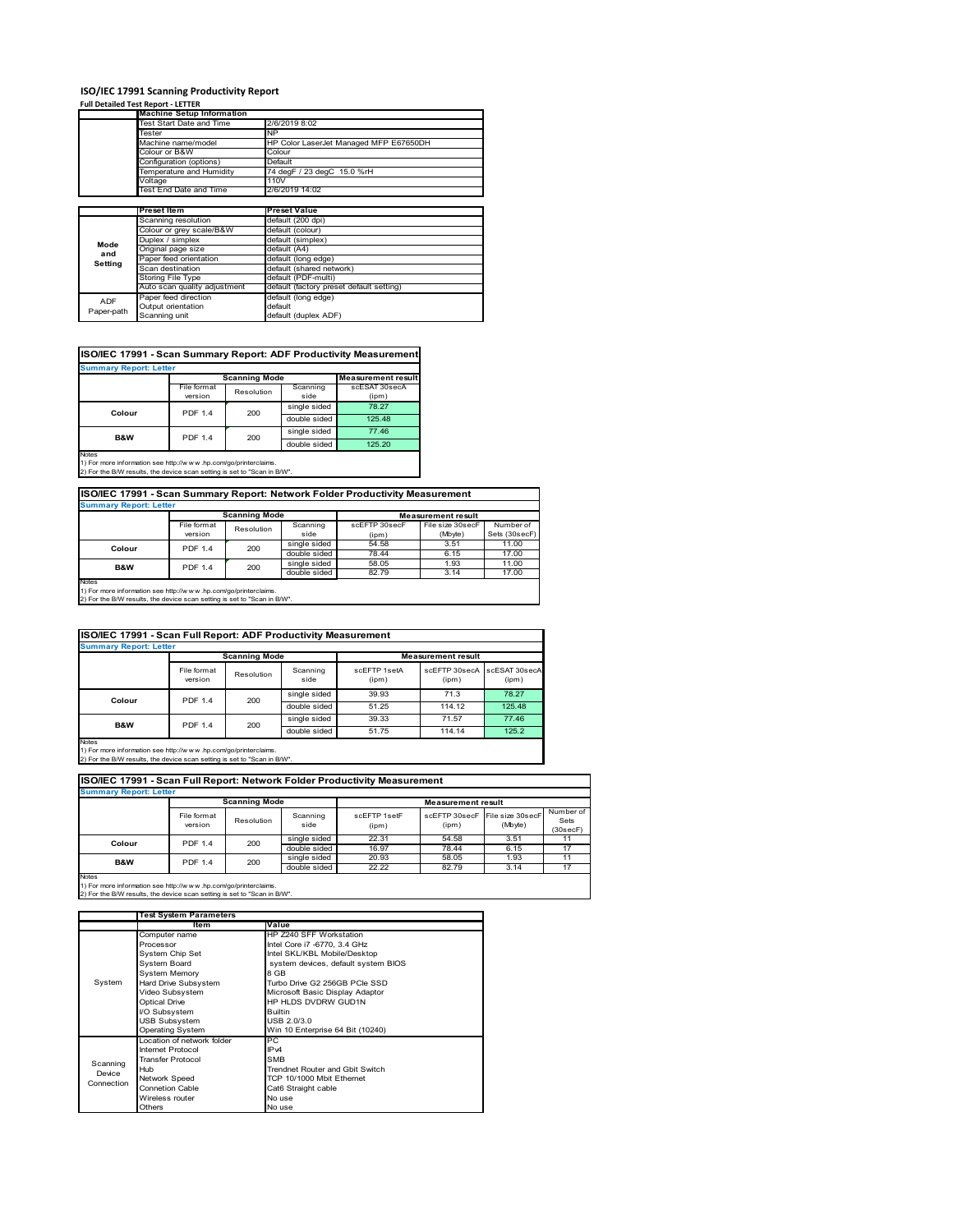### **ISO/IEC 17991 Scanning Productivity Report**

#### **Full Detailed Test Report ‐ LETTER**

|            | <b>Machine Setup Information</b> |                                                     |  |  |  |  |
|------------|----------------------------------|-----------------------------------------------------|--|--|--|--|
|            | Test Start Date and Time         | 2/6/2019 8:02                                       |  |  |  |  |
|            | Tester                           | <b>NP</b><br>HP Color LaserJet Managed MFP E67650DH |  |  |  |  |
|            | Machine name/model               |                                                     |  |  |  |  |
|            | Colour or B&W                    | Colour                                              |  |  |  |  |
|            | Configuration (options)          | Default                                             |  |  |  |  |
|            | Temperature and Humidity         | 74 degF / 23 degC 15.0 %rH                          |  |  |  |  |
|            | Voltage                          | 110V                                                |  |  |  |  |
|            | Test End Date and Time           | 2/6/2019 14:02                                      |  |  |  |  |
|            |                                  |                                                     |  |  |  |  |
|            | <b>Preset Item</b>               | <b>Preset Value</b>                                 |  |  |  |  |
|            | Scanning resolution              | default (200 dpi)                                   |  |  |  |  |
|            | Colour or grey scale/B&W         | default (colour)                                    |  |  |  |  |
| Mode       | Duplex / simplex                 | default (simplex)                                   |  |  |  |  |
| and        | Original page size               | default (A4)                                        |  |  |  |  |
| Setting    | Paper feed orientation           | default (long edge)                                 |  |  |  |  |
|            | Scan destination                 | default (shared network)                            |  |  |  |  |
|            | Storing File Type                | default (PDF-multi)                                 |  |  |  |  |
|            | Auto scan quality adjustment     | default (factory preset default setting)            |  |  |  |  |
| <b>ADF</b> | Paper feed direction             | default (long edge)                                 |  |  |  |  |
|            | Output orientation               | default                                             |  |  |  |  |
| Paper-path | Scanning unit                    | default (duplex ADF)                                |  |  |  |  |

### **ISO/IEC 17991 - Scan Summary Report: ADF Productivity Measurement**

| <b>Summary Report: Letter</b>                                                                   |                |                      |                           |               |  |  |  |
|-------------------------------------------------------------------------------------------------|----------------|----------------------|---------------------------|---------------|--|--|--|
|                                                                                                 |                | <b>Scanning Mode</b> | <b>Measurement result</b> |               |  |  |  |
|                                                                                                 | File format    | Resolution           | Scanning                  | scESAT 30secA |  |  |  |
|                                                                                                 | version        |                      | side                      | (ipm)         |  |  |  |
| Colour                                                                                          | <b>PDF 1.4</b> | 200                  | single sided              | 78.27         |  |  |  |
|                                                                                                 |                |                      | double sided              | 125.48        |  |  |  |
| <b>B&amp;W</b>                                                                                  | <b>PDF 1.4</b> | 200                  | single sided              | 77.46         |  |  |  |
|                                                                                                 |                |                      | double sided              | 125.20        |  |  |  |
| <b>Notes</b><br>45 For access to former than a such than (from contract and an industrial basic |                |                      |                           |               |  |  |  |

1) For more information see http://w w w .hp.com/go/printerclaims. 2) For the B/W results, the device scan setting is set to "Scan in B/W".

### **ISO/IEC 17991 - Scan Summary Report: Network Folder Productivity Measurement**

| <b>Summary Report: Letter</b> |                |                      |              |                           |                  |               |  |
|-------------------------------|----------------|----------------------|--------------|---------------------------|------------------|---------------|--|
|                               |                | <b>Scanning Mode</b> |              | <b>Measurement result</b> |                  |               |  |
|                               | File format    | Resolution           | Scanning     | scEFTP 30secF             | File size 30secF | Number of     |  |
|                               | version        |                      | side         | (ipm)                     | (Mbyte)          | Sets (30secF) |  |
| Colour                        | <b>PDF 1.4</b> | 200                  | single sided | 54.58                     | 3.51             | 11.00         |  |
|                               |                |                      | double sided | 78.44                     | 6.15             | 17.00         |  |
| B&W                           | <b>PDF 1.4</b> | 200                  | single sided | 58.05                     | 1.93             | 11.00         |  |
|                               |                |                      | double sided | 82.79                     | 3.14             | 17.00         |  |
| Notes                         |                |                      |              |                           |                  |               |  |

Notes 1) For more information see http://w w w .hp.com/go/printerclaims. 2) For the B/W results, the device scan setting is set to "Scan in B/W".

#### File format version Resolution Scanning side scEFTP 1setA (ipm) scEFTP 30secA (ipm) scESAT 30secA (ipm) single sided 39.93 71.3 78.27 double sided 51.25 114.12 125.48<br>single sided 39.33 71.57 77.46 single sided 39.33 71.57 77.46<br>double sided 51.75 114.14 125.2 double sid **ISO/IEC 17991 - Scan Full Report: ADF Productivity Measurement Immary Report: Letter Measurement** re **Scanning Mode Colour** PDF 1.4 200 **B&W** PDF 1.4 200

Notes 1) For more information see http://w w w .hp.com/go/printerclaims. 2) For the B/W results, the device scan setting is set to "Scan in B/W".

| ISO/IEC 17991 - Scan Full Report: Network Folder Productivity Measurement<br><b>Summary Report: Letter</b> |                        |                      |                  |                           |                        |                             |                               |  |
|------------------------------------------------------------------------------------------------------------|------------------------|----------------------|------------------|---------------------------|------------------------|-----------------------------|-------------------------------|--|
|                                                                                                            |                        | <b>Scanning Mode</b> |                  | <b>Measurement result</b> |                        |                             |                               |  |
|                                                                                                            | File format<br>version | Resolution           | Scanning<br>side | scFFTP 1setF<br>(ipm)     | scFFTP 30secF<br>(ipm) | File size 30secF<br>(Mbyte) | Number of<br>Sets<br>(30secF) |  |
| Colour                                                                                                     | <b>PDF 1.4</b>         | 200                  | single sided     | 22.31                     | 54.58                  | 3.51                        | 11                            |  |
|                                                                                                            |                        |                      | double sided     | 16.97                     | 78.44                  | 6.15                        | 17                            |  |
| <b>B&amp;W</b>                                                                                             | <b>PDF 1.4</b>         | 200                  | single sided     | 20.93                     | 58.05                  | 1.93                        | 11                            |  |
|                                                                                                            |                        |                      | double sided     | 22.22                     | 82.79                  | 3.14                        | 17                            |  |

1) For more information see http://w w w .hp.com/go/printerclaims. 2) For the B/W results, the device scan setting is set to "Scan in B/W".

|            | <b>Test System Parameters</b> |                                     |  |  |  |  |
|------------|-------------------------------|-------------------------------------|--|--|--|--|
|            | ltem                          | Value                               |  |  |  |  |
|            | Computer name                 | HP Z240 SFF Workstation             |  |  |  |  |
|            | Processor                     | Intel Core i7 -6770, 3.4 GHz        |  |  |  |  |
|            | System Chip Set               | Intel SKL/KBL Mobile/Desktop        |  |  |  |  |
|            | System Board                  | system devices, default system BIOS |  |  |  |  |
|            | <b>System Memory</b>          | 8 GB                                |  |  |  |  |
| System     | Hard Drive Subsystem          | Turbo Drive G2 256GB PCIe SSD       |  |  |  |  |
|            | Video Subsystem               | Microsoft Basic Display Adaptor     |  |  |  |  |
|            | <b>Optical Drive</b>          | HP HLDS DVDRW GUD1N                 |  |  |  |  |
|            | I/O Subsystem                 | <b>Builtin</b>                      |  |  |  |  |
|            | <b>USB Subsystem</b>          | USB 2.0/3.0                         |  |  |  |  |
|            | <b>Operating System</b>       | Win 10 Enterprise 64 Bit (10240)    |  |  |  |  |
|            | Location of network folder    | PC                                  |  |  |  |  |
|            | Internet Protocol             | IP <sub>v4</sub>                    |  |  |  |  |
| Scanning   | <b>Transfer Protocol</b>      | <b>SMB</b>                          |  |  |  |  |
| Device     | Hub                           | Trendnet Router and Gbit Switch     |  |  |  |  |
| Connection | Network Speed                 | TCP 10/1000 Mbit Ethernet           |  |  |  |  |
|            | Connetion Cable               | Cat6 Straight cable                 |  |  |  |  |
|            | Wireless router               | No use                              |  |  |  |  |
|            | Others                        | No use                              |  |  |  |  |